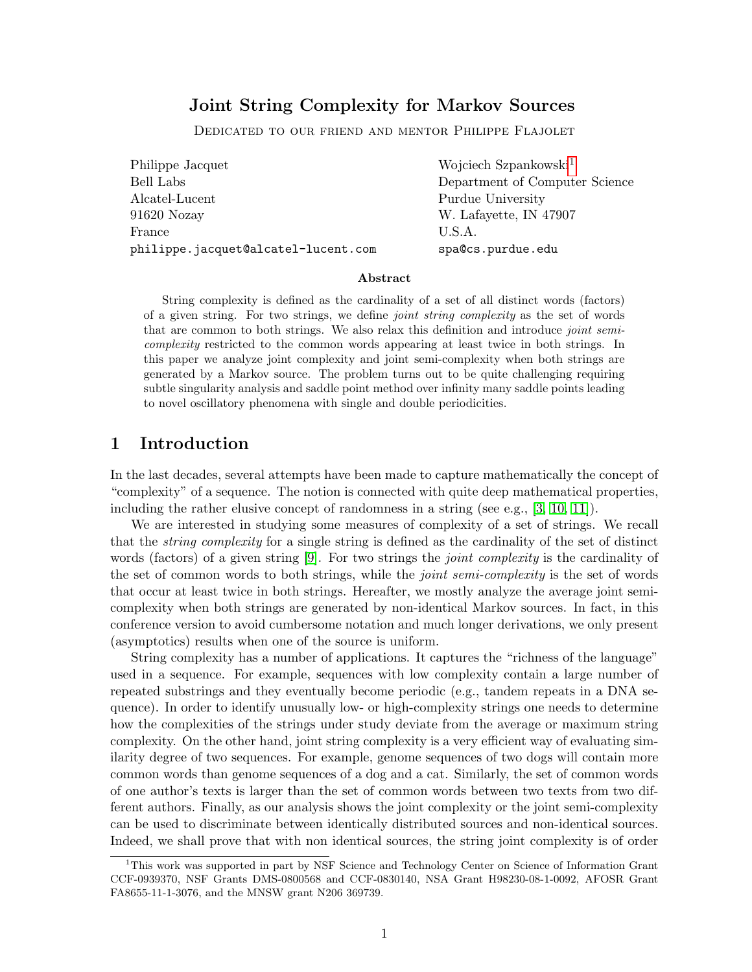# Joint String Complexity for Markov Sources

Dedicated to our friend and mentor Philippe Flajolet

| Philippe Jacquet                    | Wojciech Szpankowski <sup>1</sup> |
|-------------------------------------|-----------------------------------|
| Bell Labs                           | Department of Computer Science    |
| Alcatel-Lucent                      | Purdue University                 |
| 91620 Nozay                         | W. Lafayette, IN 47907            |
| France                              | U.S.A.                            |
| philippe.jacquet@alcatel-lucent.com | spa@cs.purdue.edu                 |

#### Abstract

String complexity is defined as the cardinality of a set of all distinct words (factors) of a given string. For two strings, we define joint string complexity as the set of words that are common to both strings. We also relax this definition and introduce *joint semi*complexity restricted to the common words appearing at least twice in both strings. In this paper we analyze joint complexity and joint semi-complexity when both strings are generated by a Markov source. The problem turns out to be quite challenging requiring subtle singularity analysis and saddle point method over infinity many saddle points leading to novel oscillatory phenomena with single and double periodicities.

# 1 Introduction

In the last decades, several attempts have been made to capture mathematically the concept of "complexity" of a sequence. The notion is connected with quite deep mathematical properties, including the rather elusive concept of randomness in a string (see e.g., [\[3,](#page-12-0) [10,](#page-12-1) [11\]](#page-12-2)).

We are interested in studying some measures of complexity of a set of strings. We recall that the string complexity for a single string is defined as the cardinality of the set of distinct words (factors) of a given string [\[9\]](#page-12-3). For two strings the *joint complexity* is the cardinality of the set of common words to both strings, while the *joint semi-complexity* is the set of words that occur at least twice in both strings. Hereafter, we mostly analyze the average joint semicomplexity when both strings are generated by non-identical Markov sources. In fact, in this conference version to avoid cumbersome notation and much longer derivations, we only present (asymptotics) results when one of the source is uniform.

String complexity has a number of applications. It captures the "richness of the language" used in a sequence. For example, sequences with low complexity contain a large number of repeated substrings and they eventually become periodic (e.g., tandem repeats in a DNA sequence). In order to identify unusually low- or high-complexity strings one needs to determine how the complexities of the strings under study deviate from the average or maximum string complexity. On the other hand, joint string complexity is a very efficient way of evaluating similarity degree of two sequences. For example, genome sequences of two dogs will contain more common words than genome sequences of a dog and a cat. Similarly, the set of common words of one author's texts is larger than the set of common words between two texts from two different authors. Finally, as our analysis shows the joint complexity or the joint semi-complexity can be used to discriminate between identically distributed sources and non-identical sources. Indeed, we shall prove that with non identical sources, the string joint complexity is of order

<sup>1</sup>This work was supported in part by NSF Science and Technology Center on Science of Information Grant CCF-0939370, NSF Grants DMS-0800568 and CCF-0830140, NSA Grant H98230-08-1-0092, AFOSR Grant FA8655-11-1-3076, and the MNSW grant N206 369739.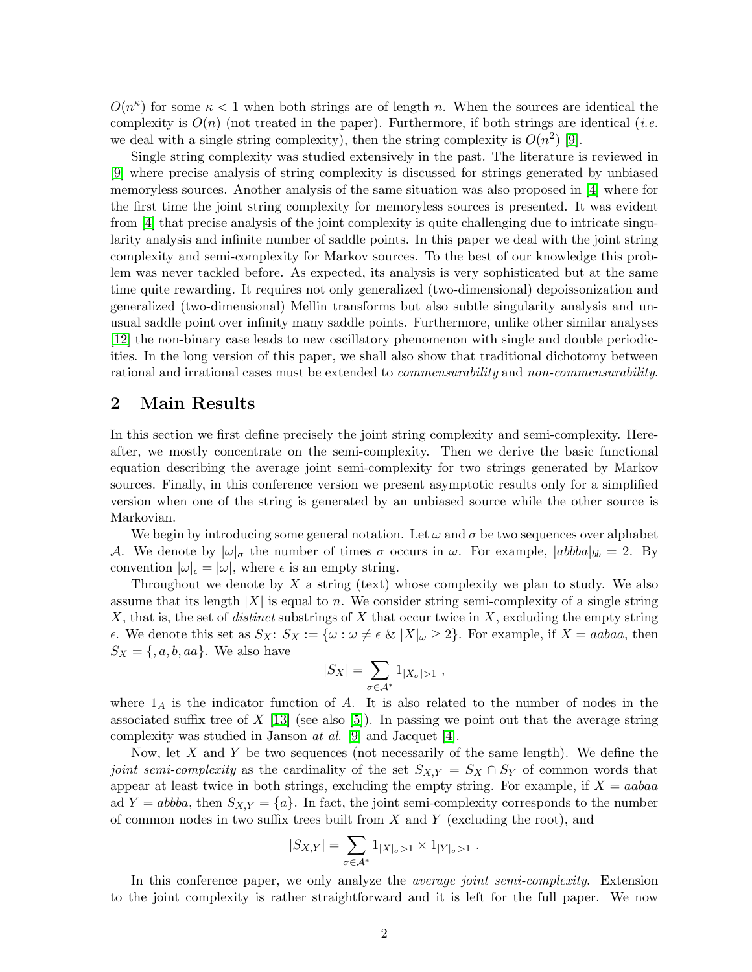$O(n^{\kappa})$  for some  $\kappa < 1$  when both strings are of length n. When the sources are identical the complexity is  $O(n)$  (not treated in the paper). Furthermore, if both strings are identical (*i.e.* we deal with a single string complexity), then the string complexity is  $O(n^2)$  [\[9\]](#page-12-3).

Single string complexity was studied extensively in the past. The literature is reviewed in [\[9\]](#page-12-3) where precise analysis of string complexity is discussed for strings generated by unbiased memoryless sources. Another analysis of the same situation was also proposed in [\[4\]](#page-12-4) where for the first time the joint string complexity for memoryless sources is presented. It was evident from [\[4\]](#page-12-4) that precise analysis of the joint complexity is quite challenging due to intricate singularity analysis and infinite number of saddle points. In this paper we deal with the joint string complexity and semi-complexity for Markov sources. To the best of our knowledge this problem was never tackled before. As expected, its analysis is very sophisticated but at the same time quite rewarding. It requires not only generalized (two-dimensional) depoissonization and generalized (two-dimensional) Mellin transforms but also subtle singularity analysis and unusual saddle point over infinity many saddle points. Furthermore, unlike other similar analyses [\[12\]](#page-12-5) the non-binary case leads to new oscillatory phenomenon with single and double periodicities. In the long version of this paper, we shall also show that traditional dichotomy between rational and irrational cases must be extended to *commensurability* and *non-commensurability*.

## 2 Main Results

In this section we first define precisely the joint string complexity and semi-complexity. Hereafter, we mostly concentrate on the semi-complexity. Then we derive the basic functional equation describing the average joint semi-complexity for two strings generated by Markov sources. Finally, in this conference version we present asymptotic results only for a simplified version when one of the string is generated by an unbiased source while the other source is Markovian.

We begin by introducing some general notation. Let  $\omega$  and  $\sigma$  be two sequences over alphabet A. We denote by  $|\omega|_{\sigma}$  the number of times  $\sigma$  occurs in  $\omega$ . For example,  $|abbba|_{bb} = 2$ . By convention  $|\omega|_{\epsilon} = |\omega|$ , where  $\epsilon$  is an empty string.

Throughout we denote by  $X$  a string (text) whose complexity we plan to study. We also assume that its length  $|X|$  is equal to n. We consider string semi-complexity of a single string X, that is, the set of *distinct* substrings of X that occur twice in X, excluding the empty string  $\epsilon$ . We denote this set as  $S_X: S_X := \{ \omega : \omega \neq \epsilon \& |X|_{\omega} \geq 2 \}.$  For example, if  $X = aabaa$ , then  $S_X = \{, a, b, aa\}.$  We also have

$$
|S_X| = \sum_{\sigma \in \mathcal{A}^*} 1_{|X_{\sigma}|>1} ,
$$

where  $1_A$  is the indicator function of A. It is also related to the number of nodes in the associated suffix tree of  $X$  [\[13\]](#page-12-6) (see also [\[5\]](#page-12-7)). In passing we point out that the average string complexity was studied in Janson *at al.* [\[9\]](#page-12-3) and Jacquet [\[4\]](#page-12-4).

Now, let  $X$  and  $Y$  be two sequences (not necessarily of the same length). We define the joint semi-complexity as the cardinality of the set  $S_{X,Y} = S_X \cap S_Y$  of common words that appear at least twice in both strings, excluding the empty string. For example, if  $X = aabaa$ ad  $Y = abba$ , then  $S_{X,Y} = \{a\}$ . In fact, the joint semi-complexity corresponds to the number of common nodes in two suffix trees built from  $X$  and  $Y$  (excluding the root), and

$$
|S_{X,Y}| = \sum_{\sigma \in A^*} 1_{|X|_{\sigma} > 1} \times 1_{|Y|_{\sigma} > 1} .
$$

In this conference paper, we only analyze the *average joint semi-complexity*. Extension to the joint complexity is rather straightforward and it is left for the full paper. We now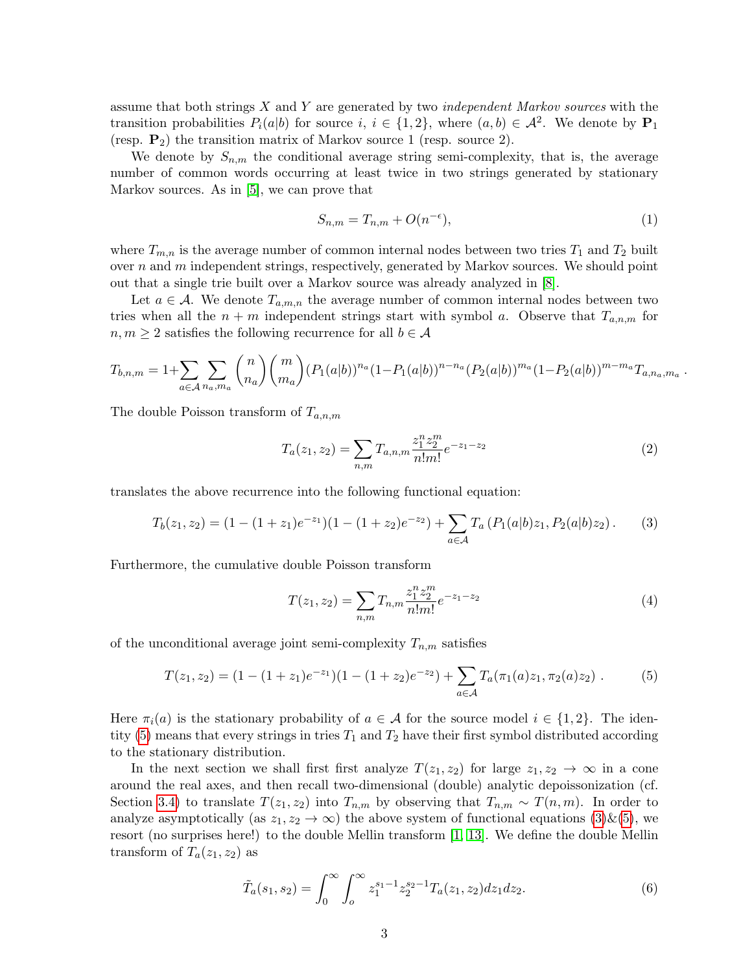assume that both strings  $X$  and  $Y$  are generated by two *independent Markov sources* with the transition probabilities  $P_i(a|b)$  for source  $i, i \in \{1,2\}$ , where  $(a,b) \in \mathcal{A}^2$ . We denote by  $\mathbf{P}_1$ (resp.  $P_2$ ) the transition matrix of Markov source 1 (resp. source 2).

We denote by  $S_{n,m}$  the conditional average string semi-complexity, that is, the average number of common words occurring at least twice in two strings generated by stationary Markov sources. As in [\[5\]](#page-12-7), we can prove that

$$
S_{n,m} = T_{n,m} + O(n^{-\epsilon}),\tag{1}
$$

where  $T_{m,n}$  is the average number of common internal nodes between two tries  $T_1$  and  $T_2$  built over  $n$  and  $m$  independent strings, respectively, generated by Markov sources. We should point out that a single trie built over a Markov source was already analyzed in [\[8\]](#page-12-8).

Let  $a \in \mathcal{A}$ . We denote  $T_{a,m,n}$  the average number of common internal nodes between two tries when all the  $n + m$  independent strings start with symbol a. Observe that  $T_{a,n,m}$  for  $n, m \geq 2$  satisfies the following recurrence for all  $b \in \mathcal{A}$ 

$$
T_{b,n,m} = 1 + \sum_{a \in \mathcal{A}} \sum_{n_a, m_a} \binom{n}{n_a} \binom{m}{m_a} (P_1(a|b))^{n_a} (1 - P_1(a|b))^{n - n_a} (P_2(a|b))^{m_a} (1 - P_2(a|b))^{m - m_a} T_{a,n_a, m_a}.
$$

The double Poisson transform of  $T_{a,n,m}$ 

$$
T_a(z_1, z_2) = \sum_{n,m} T_{a,n,m} \frac{z_1^n z_2^m}{n! m!} e^{-z_1 - z_2}
$$
 (2)

translates the above recurrence into the following functional equation:

<span id="page-2-1"></span>
$$
T_b(z_1, z_2) = (1 - (1 + z_1)e^{-z_1})(1 - (1 + z_2)e^{-z_2}) + \sum_{a \in \mathcal{A}} T_a (P_1(a|b)z_1, P_2(a|b)z_2).
$$
 (3)

Furthermore, the cumulative double Poisson transform

$$
T(z_1, z_2) = \sum_{n,m} T_{n,m} \frac{z_1^n z_2^m}{n! m!} e^{-z_1 - z_2}
$$
\n(4)

of the unconditional average joint semi-complexity  $T_{n,m}$  satisfies

<span id="page-2-0"></span>
$$
T(z_1, z_2) = (1 - (1 + z_1)e^{-z_1})(1 - (1 + z_2)e^{-z_2}) + \sum_{a \in \mathcal{A}} T_a(\pi_1(a)z_1, \pi_2(a)z_2).
$$
 (5)

Here  $\pi_i(a)$  is the stationary probability of  $a \in \mathcal{A}$  for the source model  $i \in \{1,2\}$ . The iden-tity [\(5\)](#page-2-0) means that every strings in tries  $T_1$  and  $T_2$  have their first symbol distributed according to the stationary distribution.

In the next section we shall first first analyze  $T(z_1, z_2)$  for large  $z_1, z_2 \rightarrow \infty$  in a cone around the real axes, and then recall two-dimensional (double) analytic depoissonization (cf. Section [3.4\)](#page-11-0) to translate  $T(z_1, z_2)$  into  $T_{n,m}$  by observing that  $T_{n,m} \sim T(n,m)$ . In order to analyze asymptotically (as  $z_1, z_2 \to \infty$ ) the above system of functional equations [\(3\)](#page-2-1)&[\(5\)](#page-2-0), we resort (no surprises here!) to the double Mellin transform [\[1,](#page-12-9) [13\]](#page-12-6). We define the double Mellin transform of  $T_a(z_1, z_2)$  as

$$
\tilde{T}_a(s_1, s_2) = \int_0^\infty \int_0^\infty z_1^{s_1 - 1} z_2^{s_2 - 1} T_a(z_1, z_2) dz_1 dz_2.
$$
\n(6)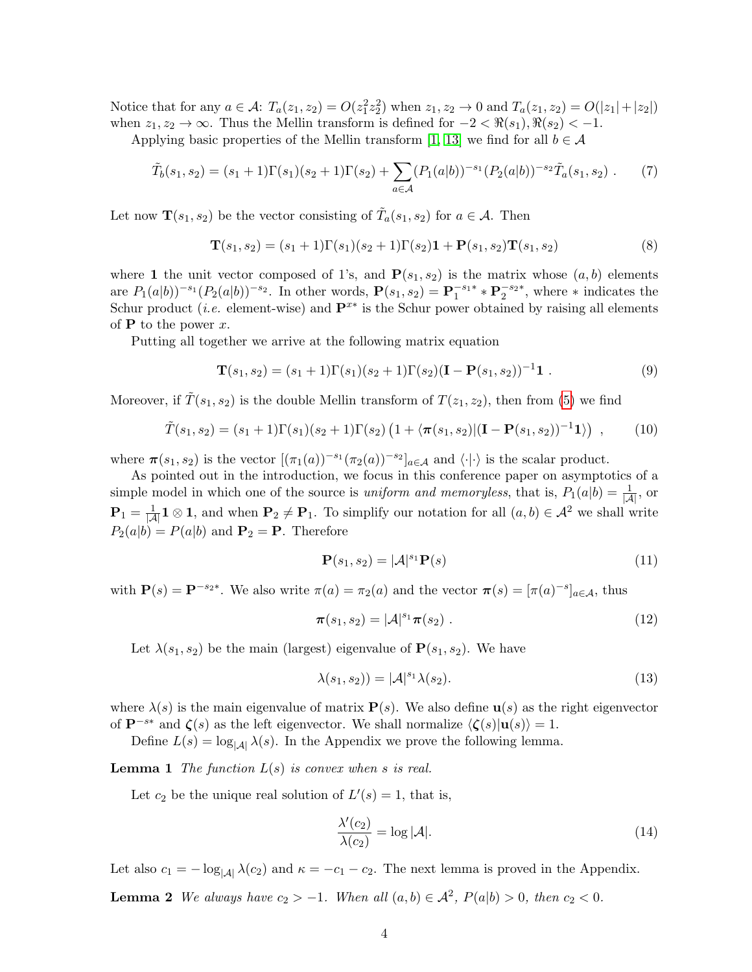Notice that for any  $a \in \mathcal{A}$ :  $T_a(z_1, z_2) = O(z_1^2 z_2^2)$  when  $z_1, z_2 \to 0$  and  $T_a(z_1, z_2) = O(|z_1| + |z_2|)$ when  $z_1, z_2 \to \infty$ . Thus the Mellin transform is defined for  $-2 < \Re(s_1), \Re(s_2) < -1$ .

Applying basic properties of the Mellin transform [\[1,](#page-12-9) [13\]](#page-12-6) we find for all  $b \in \mathcal{A}$ 

$$
\tilde{T}_b(s_1, s_2) = (s_1 + 1)\Gamma(s_1)(s_2 + 1)\Gamma(s_2) + \sum_{a \in \mathcal{A}} (P_1(a|b))^{-s_1} (P_2(a|b))^{-s_2} \tilde{T}_a(s_1, s_2).
$$
 (7)

Let now  $\mathbf{T}(s_1, s_2)$  be the vector consisting of  $\tilde{T}_a(s_1, s_2)$  for  $a \in \mathcal{A}$ . Then

$$
\mathbf{T}(s_1, s_2) = (s_1 + 1)\Gamma(s_1)(s_2 + 1)\Gamma(s_2)\mathbf{1} + \mathbf{P}(s_1, s_2)\mathbf{T}(s_1, s_2)
$$
\n(8)

where 1 the unit vector composed of 1's, and  $P(s_1, s_2)$  is the matrix whose  $(a, b)$  elements are  $P_1(a|b))^{-s_1}(P_2(a|b))^{-s_2}$ . In other words,  $P(s_1, s_2) = P_1^{-s_1*} * P_2^{-s_2*}$ , where  $*$  indicates the Schur product (*i.e.* element-wise) and  $\mathbf{P}^{x*}$  is the Schur power obtained by raising all elements of  $P$  to the power x.

Putting all together we arrive at the following matrix equation

$$
\mathbf{T}(s_1, s_2) = (s_1 + 1)\Gamma(s_1)(s_2 + 1)\Gamma(s_2)(\mathbf{I} - \mathbf{P}(s_1, s_2))^{-1}\mathbf{1}.
$$
\n(9)

Moreover, if  $\hat{T}(s_1, s_2)$  is the double Mellin transform of  $T(z_1, z_2)$ , then from [\(5\)](#page-2-0) we find

<span id="page-3-0"></span>
$$
\tilde{T}(s_1, s_2) = (s_1 + 1)\Gamma(s_1)(s_2 + 1)\Gamma(s_2) \left(1 + \langle \pi(s_1, s_2) | (\mathbf{I} - \mathbf{P}(s_1, s_2))^{-1} \mathbf{1} \rangle \right) , \quad (10)
$$

where  $\pi(s_1, s_2)$  is the vector  $[(\pi_1(a))^{-s_1}(\pi_2(a))^{-s_2}]_{a \in \mathcal{A}}$  and  $\langle \cdot | \cdot \rangle$  is the scalar product.

As pointed out in the introduction, we focus in this conference paper on asymptotics of a simple model in which one of the source is *uniform and memoryless*, that is,  $P_1(a|b) = \frac{1}{|A|}$ , or  $\mathbf{P}_1 = \frac{1}{|\mathcal{A}|} \mathbf{1} \otimes \mathbf{1}$ , and when  $\mathbf{P}_2 \neq \mathbf{P}_1$ . To simplify our notation for all  $(a, b) \in \mathcal{A}^2$  we shall write  $P_2(a|b) = P(a|b)$  and  $P_2 = P$ . Therefore

$$
\mathbf{P}(s_1, s_2) = |\mathcal{A}|^{s_1} \mathbf{P}(s)
$$
\n(11)

with  $\mathbf{P}(s) = \mathbf{P}^{-s_2*}$ . We also write  $\pi(a) = \pi_2(a)$  and the vector  $\pi(s) = [\pi(a)^{-s}]_{a \in \mathcal{A}}$ , thus

$$
\pi(s_1, s_2) = |\mathcal{A}|^{s_1} \pi(s_2) . \tag{12}
$$

Let  $\lambda(s_1, s_2)$  be the main (largest) eigenvalue of  $P(s_1, s_2)$ . We have

$$
\lambda(s_1, s_2)) = |\mathcal{A}|^{s_1} \lambda(s_2). \tag{13}
$$

where  $\lambda(s)$  is the main eigenvalue of matrix  $P(s)$ . We also define  $u(s)$  as the right eigenvector of  $\mathbf{P}^{-s*}$  and  $\zeta(s)$  as the left eigenvector. We shall normalize  $\langle \zeta(s)|\mathbf{u}(s)\rangle = 1$ .

Define  $L(s) = \log_{|\mathcal{A}|} \lambda(s)$ . In the Appendix we prove the following lemma.

**Lemma 1** The function  $L(s)$  is convex when s is real.

Let  $c_2$  be the unique real solution of  $L'(s) = 1$ , that is,

<span id="page-3-3"></span><span id="page-3-2"></span><span id="page-3-1"></span>
$$
\frac{\lambda'(c_2)}{\lambda(c_2)} = \log |\mathcal{A}|.\tag{14}
$$

Let also  $c_1 = -\log_{|A|} \lambda(c_2)$  and  $\kappa = -c_1 - c_2$ . The next lemma is proved in the Appendix.

**Lemma 2** We always have  $c_2 > -1$ . When all  $(a, b) \in \mathcal{A}^2$ ,  $P(a|b) > 0$ , then  $c_2 < 0$ .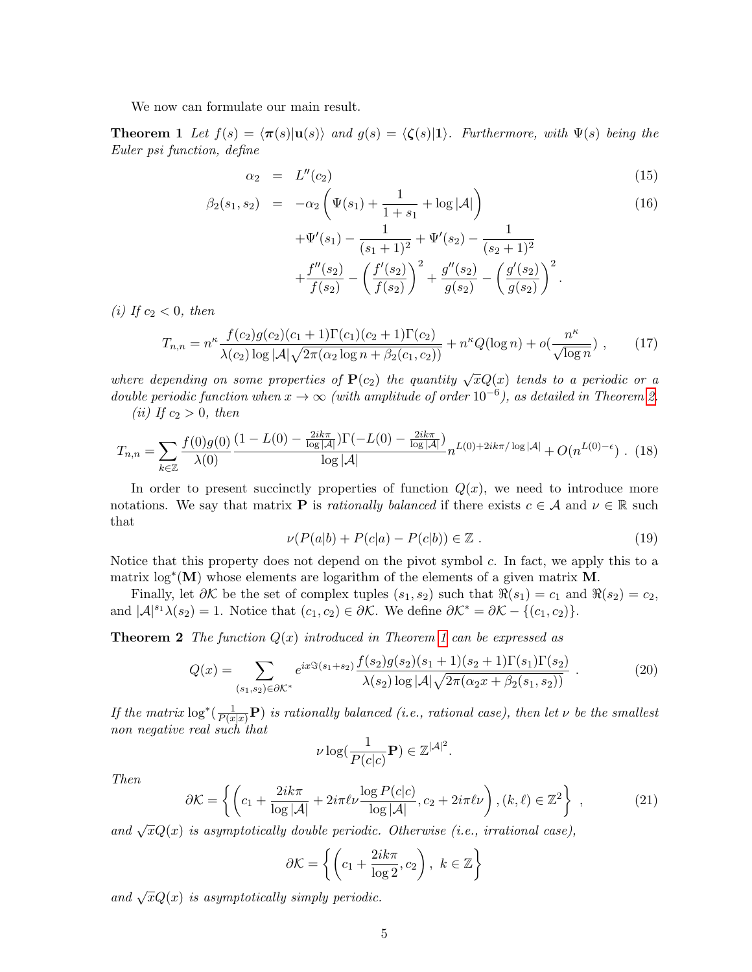We now can formulate our main result.

**Theorem 1** Let  $f(s) = \langle \pi(s)|u(s)\rangle$  and  $g(s) = \langle \zeta(s)|1\rangle$ . Furthermore, with  $\Psi(s)$  being the Euler psi function, define

$$
\alpha_2 = L''(c_2) \tag{15}
$$

$$
\beta_2(s_1, s_2) = -\alpha_2 \left( \Psi(s_1) + \frac{1}{1+s_1} + \log |\mathcal{A}| \right) + \Psi'(s_1) - \frac{1}{(s_1+1)^2} + \Psi'(s_2) - \frac{1}{(s_2+1)^2}
$$
\n(16)

$$
+\frac{f''(s_1)}{f(s_2)} - \left(\frac{f'(s_2)}{f(s_2)}\right)^2 + \frac{g''(s_2)}{g(s_2)} - \left(\frac{g'(s_2)}{g(s_2)}\right)^2.
$$

(i) If  $c_2 < 0$ , then

$$
T_{n,n} = n^{\kappa} \frac{f(c_2)g(c_2)(c_1+1)\Gamma(c_1)(c_2+1)\Gamma(c_2)}{\lambda(c_2)\log|\mathcal{A}|\sqrt{2\pi(\alpha_2\log n + \beta_2(c_1,c_2))}} + n^{\kappa}Q(\log n) + o(\frac{n^{\kappa}}{\sqrt{\log n}}) ,\qquad(17)
$$

where depending on some properties of  $P(c_2)$  the quantity  $\sqrt{x}Q(x)$  tends to a periodic or a double periodic function when  $x \to \infty$  (with amplitude of order 10<sup>-6</sup>), as detailed in Theorem [2.](#page-4-0) (ii) If  $c_2 > 0$ , then

<span id="page-4-1"></span>
$$
T_{n,n} = \sum_{k \in \mathbb{Z}} \frac{f(0)g(0)}{\lambda(0)} \frac{(1 - L(0) - \frac{2ik\pi}{\log|\mathcal{A}|})\Gamma(-L(0) - \frac{2ik\pi}{\log|\mathcal{A}|})}{\log|\mathcal{A}|} n^{L(0) + 2ik\pi/\log|\mathcal{A}|} + O(n^{L(0) - \epsilon}). \tag{18}
$$

In order to present succinctly properties of function  $Q(x)$ , we need to introduce more notations. We say that matrix **P** is *rationally balanced* if there exists  $c \in \mathcal{A}$  and  $\nu \in \mathbb{R}$  such that

$$
\nu(P(a|b) + P(c|a) - P(c|b)) \in \mathbb{Z} . \tag{19}
$$

Notice that this property does not depend on the pivot symbol  $c$ . In fact, we apply this to a matrix  $\log^*({\bf M})$  whose elements are logarithm of the elements of a given matrix **M**.

Finally, let  $\partial \mathcal{K}$  be the set of complex tuples  $(s_1, s_2)$  such that  $\Re(s_1) = c_1$  and  $\Re(s_2) = c_2$ , and  $|\mathcal{A}|^{s_1}\lambda(s_2)=1$ . Notice that  $(c_1, c_2) \in \partial \mathcal{K}$ . We define  $\partial \mathcal{K}^* = \partial \mathcal{K} - \{(c_1, c_2)\}.$ 

**Theorem 2** The function  $Q(x)$  introduced in Theorem [1](#page-4-1) can be expressed as

$$
Q(x) = \sum_{(s_1, s_2) \in \partial \mathcal{K}^*} e^{ix \Im(s_1 + s_2)} \frac{f(s_2)g(s_2)(s_1 + 1)(s_2 + 1)\Gamma(s_1)\Gamma(s_2)}{\lambda(s_2) \log |\mathcal{A}| \sqrt{2\pi(\alpha_2 x + \beta_2(s_1, s_2))}}.
$$
(20)

If the matrix  $\log^*(\frac{1}{P(x|x)}\mathbf{P})$  is rationally balanced (i.e., rational case), then let  $\nu$  be the smallest non negative real such that

$$
\nu \log(\frac{1}{P(c|c)}\mathbf{P}) \in \mathbb{Z}^{|\mathcal{A}|^2}.
$$

Then

<span id="page-4-0"></span>
$$
\partial \mathcal{K} = \left\{ \left( c_1 + \frac{2ik\pi}{\log|\mathcal{A}|} + 2i\pi\ell\nu \frac{\log P(c|c)}{\log|\mathcal{A}|}, c_2 + 2i\pi\ell\nu \right), (k,\ell) \in \mathbb{Z}^2 \right\},\tag{21}
$$

and  $\sqrt{x}Q(x)$  is asymptotically double periodic. Otherwise (i.e., irrational case),

$$
\partial \mathcal{K} = \left\{ \left( c_1 + \frac{2ik\pi}{\log 2}, c_2 \right), \ k \in \mathbb{Z} \right\}
$$

and  $\sqrt{x}Q(x)$  is asymptotically simply periodic.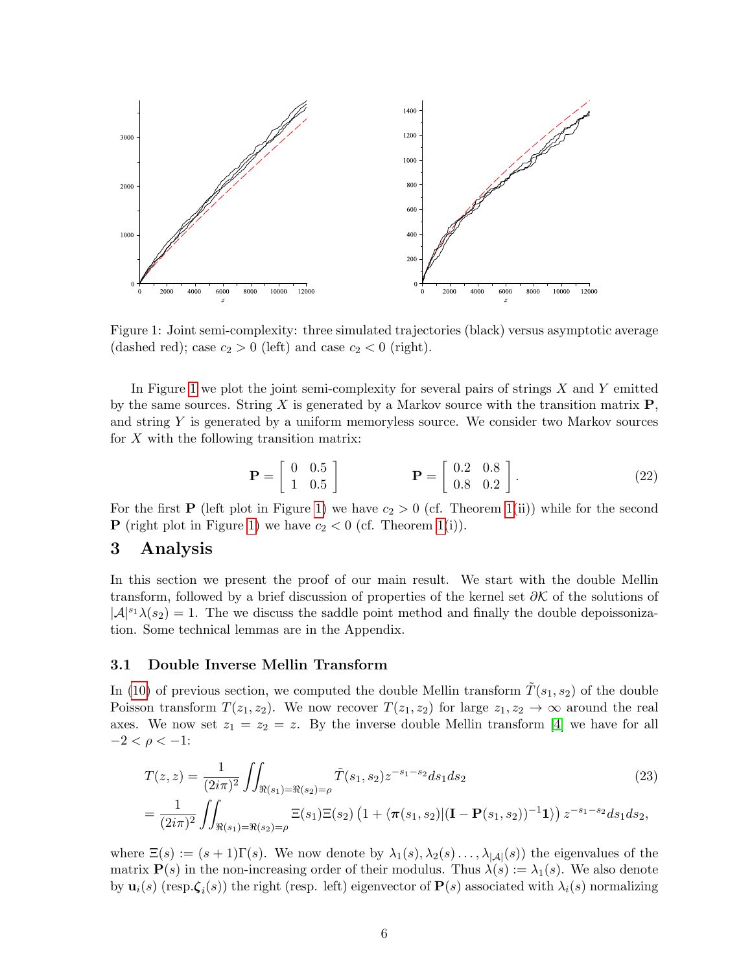

<span id="page-5-0"></span>Figure 1: Joint semi-complexity: three simulated trajectories (black) versus asymptotic average (dashed red); case  $c_2 > 0$  (left) and case  $c_2 < 0$  (right).

In Figure [1](#page-5-0) we plot the joint semi-complexity for several pairs of strings  $X$  and  $Y$  emitted by the same sources. String X is generated by a Markov source with the transition matrix  $P$ , and string  $Y$  is generated by a uniform memoryless source. We consider two Markov sources for  $X$  with the following transition matrix:

$$
\mathbf{P} = \left[ \begin{array}{cc} 0 & 0.5 \\ 1 & 0.5 \end{array} \right] \qquad \qquad \mathbf{P} = \left[ \begin{array}{cc} 0.2 & 0.8 \\ 0.8 & 0.2 \end{array} \right]. \tag{22}
$$

For the first **P** (left plot in Figure [1\)](#page-5-0) we have  $c_2 > 0$  (cf. Theorem [1\(](#page-4-1)ii)) while for the second **P** (right plot in Figure [1\)](#page-5-0) we have  $c_2 < 0$  (cf. Theorem [1\(](#page-4-1)i)).

# 3 Analysis

In this section we present the proof of our main result. We start with the double Mellin transform, followed by a brief discussion of properties of the kernel set  $\partial \mathcal{K}$  of the solutions of  $|\mathcal{A}|^{s_1}\lambda(s_2)=1$ . The we discuss the saddle point method and finally the double depoissonization. Some technical lemmas are in the Appendix.

### 3.1 Double Inverse Mellin Transform

In [\(10\)](#page-3-0) of previous section, we computed the double Mellin transform  $T(s_1, s_2)$  of the double Poisson transform  $T(z_1, z_2)$ . We now recover  $T(z_1, z_2)$  for large  $z_1, z_2 \to \infty$  around the real axes. We now set  $z_1 = z_2 = z$ . By the inverse double Mellin transform [\[4\]](#page-12-4) we have for all  $-2 < \rho < -1$ :

<span id="page-5-1"></span>
$$
T(z, z) = \frac{1}{(2i\pi)^2} \iint_{\Re(s_1) = \Re(s_2) = \rho} \tilde{T}(s_1, s_2) z^{-s_1 - s_2} ds_1 ds_2
$$
\n
$$
= \frac{1}{(2i\pi)^2} \iint_{\Re(s_1) = \Re(s_2) = \rho} \Xi(s_1) \Xi(s_2) \left(1 + \langle \pi(s_1, s_2) | (\mathbf{I} - \mathbf{P}(s_1, s_2))^{-1} \mathbf{1} \rangle \right) z^{-s_1 - s_2} ds_1 ds_2,
$$
\n(23)

where  $\Xi(s) := (s+1)\Gamma(s)$ . We now denote by  $\lambda_1(s), \lambda_2(s) \ldots, \lambda_{|\mathcal{A}|}(s)$  the eigenvalues of the matrix  $P(s)$  in the non-increasing order of their modulus. Thus  $\lambda(s) := \lambda_1(s)$ . We also denote by  $\mathbf{u}_i(s)$  (resp.  $\boldsymbol{\zeta}_i(s)$ ) the right (resp. left) eigenvector of  $\mathbf{P}(s)$  associated with  $\lambda_i(s)$  normalizing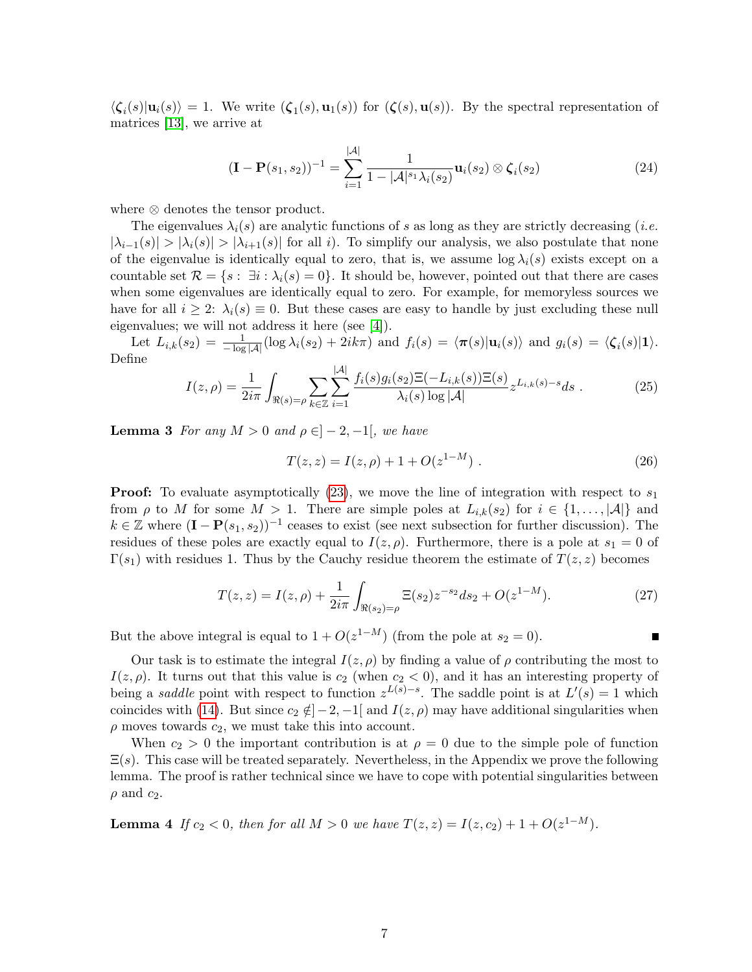$\langle \zeta_i(s)|\mathbf{u}_i(s)\rangle = 1$ . We write  $(\zeta_1(s), \mathbf{u}_1(s))$  for  $(\zeta(s), \mathbf{u}(s))$ . By the spectral representation of matrices [\[13\]](#page-12-6), we arrive at

$$
(\mathbf{I} - \mathbf{P}(s_1, s_2))^{-1} = \sum_{i=1}^{|\mathcal{A}|} \frac{1}{1 - |\mathcal{A}|^{s_1} \lambda_i(s_2)} \mathbf{u}_i(s_2) \otimes \zeta_i(s_2)
$$
(24)

where ⊗ denotes the tensor product.

The eigenvalues  $\lambda_i(s)$  are analytic functions of s as long as they are strictly decreasing (*i.e.*  $|\lambda_{i-1}(s)| > |\lambda_i(s)| > |\lambda_{i+1}(s)|$  for all i). To simplify our analysis, we also postulate that none of the eigenvalue is identically equal to zero, that is, we assume  $\log \lambda_i(s)$  exists except on a countable set  $\mathcal{R} = \{s : \exists i : \lambda_i(s) = 0\}$ . It should be, however, pointed out that there are cases when some eigenvalues are identically equal to zero. For example, for memoryless sources we have for all  $i \geq 2$ :  $\lambda_i(s) \equiv 0$ . But these cases are easy to handle by just excluding these null eigenvalues; we will not address it here (see [\[4\]](#page-12-4)).

Let  $L_{i,k}(s_2) = \frac{1}{-\log|\mathcal{A}|}(\log \lambda_i(s_2) + 2ik\pi)$  and  $f_i(s) = \langle \pi(s)|\mathbf{u}_i(s)\rangle$  and  $g_i(s) = \langle \zeta_i(s)|1\rangle$ . Define

<span id="page-6-0"></span>
$$
I(z,\rho) = \frac{1}{2i\pi} \int_{\Re(s) = \rho} \sum_{k \in \mathbb{Z}} \sum_{i=1}^{|\mathcal{A}|} \frac{f_i(s)g_i(s_2)\Xi(-L_{i,k}(s))\Xi(s)}{\lambda_i(s)\log|\mathcal{A}|} z^{L_{i,k}(s)-s} ds . \tag{25}
$$

**Lemma 3** For any  $M > 0$  and  $\rho \in ]-2,-1[$ , we have

$$
T(z, z) = I(z, \rho) + 1 + O(z^{1-M}).
$$
\n(26)

**Proof:** To evaluate asymptotically [\(23\)](#page-5-1), we move the line of integration with respect to  $s_1$ from  $\rho$  to M for some  $M > 1$ . There are simple poles at  $L_{i,k}(s_2)$  for  $i \in \{1, \ldots, |\mathcal{A}|\}$  and  $k \in \mathbb{Z}$  where  $(\mathbf{I} - \mathbf{P}(s_1, s_2))^{-1}$  ceases to exist (see next subsection for further discussion). The residues of these poles are exactly equal to  $I(z, \rho)$ . Furthermore, there is a pole at  $s_1 = 0$  of  $\Gamma(s_1)$  with residues 1. Thus by the Cauchy residue theorem the estimate of  $T(z, z)$  becomes

$$
T(z, z) = I(z, \rho) + \frac{1}{2i\pi} \int_{\Re(s_2) = \rho} \Xi(s_2) z^{-s_2} ds_2 + O(z^{1-M}).
$$
\n(27)

But the above integral is equal to  $1 + O(z^{1-M})$  (from the pole at  $s_2 = 0$ ).

Our task is to estimate the integral  $I(z, \rho)$  by finding a value of  $\rho$  contributing the most to  $I(z, \rho)$ . It turns out that this value is  $c_2$  (when  $c_2 < 0$ ), and it has an interesting property of being a *saddle* point with respect to function  $z^{L(s)-s}$ . The saddle point is at  $L'(s) = 1$  which coincides with [\(14\)](#page-3-1). But since  $c_2 \notin ]-2, -1[$  and  $I(z, \rho)$  may have additional singularities when  $\rho$  moves towards  $c_2$ , we must take this into account.

When  $c_2 > 0$  the important contribution is at  $\rho = 0$  due to the simple pole of function  $\Xi(s)$ . This case will be treated separately. Nevertheless, in the Appendix we prove the following lemma. The proof is rather technical since we have to cope with potential singularities between  $\rho$  and  $c_2$ .

<span id="page-6-1"></span>**Lemma 4** If  $c_2 < 0$ , then for all  $M > 0$  we have  $T(z, z) = I(z, c_2) + 1 + O(z^{1-M})$ .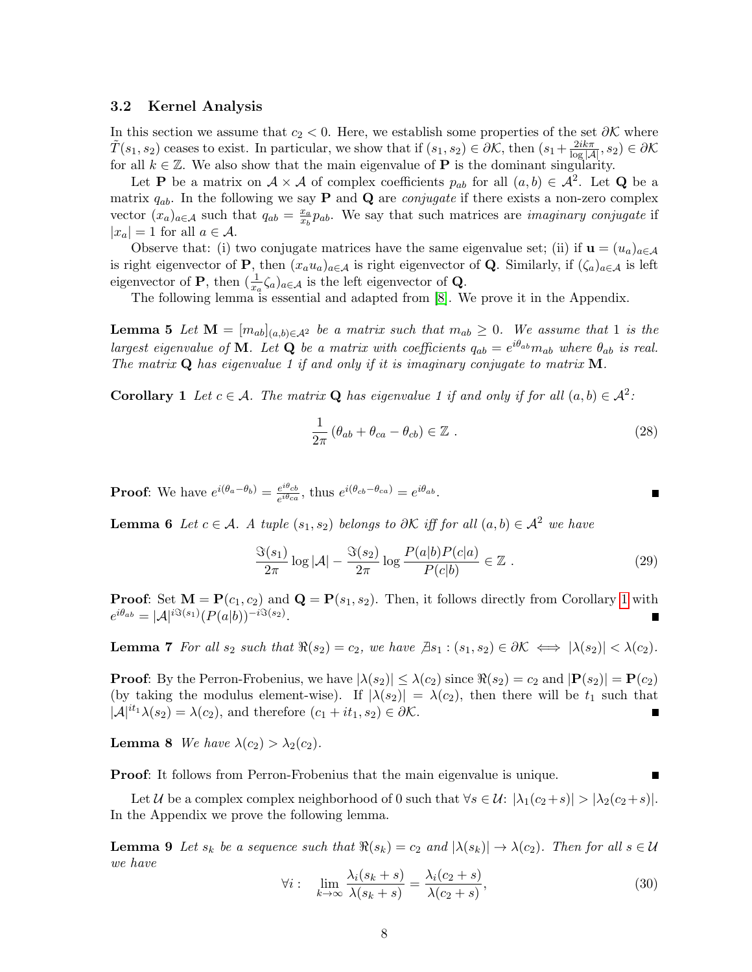### 3.2 Kernel Analysis

In this section we assume that  $c_2 < 0$ . Here, we establish some properties of the set  $\partial \mathcal{K}$  where  $\tilde{T}(s_1, s_2)$  ceases to exist. In particular, we show that if  $(s_1, s_2) \in \partial \mathcal{K}$ , then  $(s_1 + \frac{2ik\pi}{\log|\mathcal{A}|}, s_2) \in \partial \mathcal{K}$ for all  $k \in \mathbb{Z}$ . We also show that the main eigenvalue of **P** is the dominant singularity.

Let **P** be a matrix on  $A \times A$  of complex coefficients  $p_{ab}$  for all  $(a, b) \in A^2$ . Let **Q** be a matrix  $q_{ab}$ . In the following we say **P** and **Q** are *conjugate* if there exists a non-zero complex vector  $(x_a)_{a \in \mathcal{A}}$  such that  $q_{ab} = \frac{x_a}{x_b}$  $\frac{x_a}{x_b}p_{ab}$ . We say that such matrices are *imaginary conjugate* if  $|x_a| = 1$  for all  $a \in \mathcal{A}$ .

Observe that: (i) two conjugate matrices have the same eigenvalue set; (ii) if  $\mathbf{u} = (u_a)_{a \in \mathcal{A}}$ is right eigenvector of **P**, then  $(x_a u_a)_{a \in \mathcal{A}}$  is right eigenvector of **Q**. Similarly, if  $(\zeta_a)_{a \in \mathcal{A}}$  is left eigenvector of **P**, then  $(\frac{1}{x_a}\zeta_a)_{a\in\mathcal{A}}$  is the left eigenvector of **Q**.

The following lemma is essential and adapted from [\[8\]](#page-12-8). We prove it in the Appendix.

<span id="page-7-1"></span>**Lemma 5** Let  $\mathbf{M} = [m_{ab}]_{(a,b)\in\mathcal{A}^2}$  be a matrix such that  $m_{ab} \geq 0$ . We assume that 1 is the largest eigenvalue of **M**. Let **Q** be a matrix with coefficients  $q_{ab} = e^{i\theta_{ab}} m_{ab}$  where  $\theta_{ab}$  is real. The matrix  $Q$  has eigenvalue 1 if and only if it is imaginary conjugate to matrix  $M$ .

**Corollary 1** Let  $c \in \mathcal{A}$ . The matrix **Q** has eigenvalue 1 if and only if for all  $(a, b) \in \mathcal{A}^2$ .

<span id="page-7-0"></span>
$$
\frac{1}{2\pi} \left( \theta_{ab} + \theta_{ca} - \theta_{cb} \right) \in \mathbb{Z} \ . \tag{28}
$$

**Proof:** We have  $e^{i(\theta_a-\theta_b)}=\frac{e^{i\theta_{cb}}}{e^{i\theta_{ca}}}$  $\frac{e^{i\theta_{cb}}}{e^{i\theta_{ca}}},$  thus  $e^{i(\theta_{cb}-\theta_{ca})}=e^{i\theta_{ab}}.$ 

**Lemma 6** Let  $c \in \mathcal{A}$ . A tuple  $(s_1, s_2)$  belongs to  $\partial \mathcal{K}$  iff for all  $(a, b) \in \mathcal{A}^2$  we have

$$
\frac{\Im(s_1)}{2\pi} \log |\mathcal{A}| - \frac{\Im(s_2)}{2\pi} \log \frac{P(a|b)P(c|a)}{P(c|b)} \in \mathbb{Z}.
$$
 (29)

**Proof:** Set  $M = P(c_1, c_2)$  and  $Q = P(s_1, s_2)$ . Then, it follows directly from Corollary [1](#page-7-0) with  $e^{i\theta_{ab}} = |\mathcal{A}|^{i\Im(s_1)} (P(a|b))^{-i\Im(s_2)}.$ 

**Lemma 7** For all  $s_2$  such that  $\Re(s_2) = c_2$ , we have  $\exists s_1 : (s_1, s_2) \in \partial \mathcal{K} \iff |\lambda(s_2)| < \lambda(c_2)$ .

**Proof:** By the Perron-Frobenius, we have  $|\lambda(s_2)| \leq \lambda(c_2)$  since  $\Re(s_2) = c_2$  and  $|\mathbf{P}(s_2)| = \mathbf{P}(c_2)$ (by taking the modulus element-wise). If  $|\lambda(s_2)| = \lambda(c_2)$ , then there will be  $t_1$  such that  $|\mathcal{A}|^{it_1}\lambda(s_2) = \lambda(c_2)$ , and therefore  $(c_1 + it_1, s_2) \in \partial \mathcal{K}$ .

**Lemma 8** We have  $\lambda(c_2) > \lambda_2(c_2)$ .

Proof: It follows from Perron-Frobenius that the main eigenvalue is unique.

Let U be a complex complex neighborhood of 0 such that  $\forall s \in \mathcal{U}$ :  $|\lambda_1(c_2+s)| > |\lambda_2(c_2+s)|$ . In the Appendix we prove the following lemma.

**Lemma 9** Let  $s_k$  be a sequence such that  $\Re(s_k) = c_2$  and  $|\lambda(s_k)| \to \lambda(c_2)$ . Then for all  $s \in \mathcal{U}$ we have

$$
\forall i: \lim_{k \to \infty} \frac{\lambda_i(s_k + s)}{\lambda(s_k + s)} = \frac{\lambda_i(c_2 + s)}{\lambda(c_2 + s)},\tag{30}
$$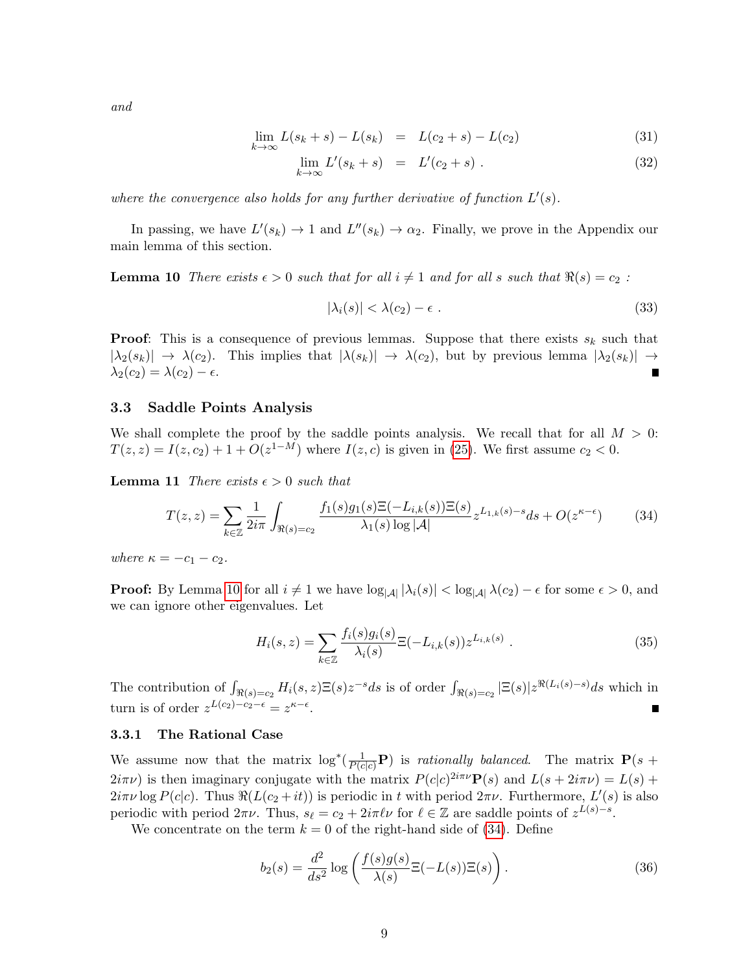and

<span id="page-8-2"></span>
$$
\lim_{k \to \infty} L(s_k + s) - L(s_k) = L(c_2 + s) - L(c_2)
$$
\n(31)

$$
\lim_{k \to \infty} L'(s_k + s) = L'(c_2 + s) . \tag{32}
$$

where the convergence also holds for any further derivative of function  $L'(s)$ .

In passing, we have  $L'(s_k) \to 1$  and  $L''(s_k) \to \alpha_2$ . Finally, we prove in the Appendix our main lemma of this section.

<span id="page-8-0"></span>**Lemma 10** There exists  $\epsilon > 0$  such that for all  $i \neq 1$  and for all s such that  $\Re(s) = c_2$ :

$$
|\lambda_i(s)| < \lambda(c_2) - \epsilon \tag{33}
$$

**Proof:** This is a consequence of previous lemmas. Suppose that there exists  $s_k$  such that  $|\lambda_2(s_k)| \to \lambda(c_2)$ . This implies that  $|\lambda(s_k)| \to \lambda(c_2)$ , but by previous lemma  $|\lambda_2(s_k)| \to \lambda(c_2)$  $\lambda_2(c_2) = \lambda(c_2) - \epsilon.$ 

### 3.3 Saddle Points Analysis

We shall complete the proof by the saddle points analysis. We recall that for all  $M > 0$ :  $T(z, z) = I(z, c_2) + 1 + O(z^{1-M})$  where  $I(z, c)$  is given in [\(25\)](#page-6-0). We first assume  $c_2 < 0$ .

**Lemma 11** There exists  $\epsilon > 0$  such that

<span id="page-8-1"></span>
$$
T(z,z) = \sum_{k \in \mathbb{Z}} \frac{1}{2i\pi} \int_{\Re(s) = c_2} \frac{f_1(s)g_1(s)\Xi(-L_{i,k}(s))\Xi(s)}{\lambda_1(s)\log|\mathcal{A}|} z^{L_{1,k}(s) - s} ds + O(z^{\kappa - \epsilon}) \tag{34}
$$

where  $\kappa = -c_1 - c_2$ .

**Proof:** By Lemma [10](#page-8-0) for all  $i \neq 1$  we have  $\log_{|A|} |\lambda_i(s)| < \log_{|A|} \lambda(c_2) - \epsilon$  for some  $\epsilon > 0$ , and we can ignore other eigenvalues. Let

$$
H_i(s, z) = \sum_{k \in \mathbb{Z}} \frac{f_i(s)g_i(s)}{\lambda_i(s)} \Xi(-L_{i,k}(s)) z^{L_{i,k}(s)} . \tag{35}
$$

The contribution of  $\int_{\Re(s)=c_2} H_i(s,z) \Xi(s) z^{-s} ds$  is of order  $\int_{\Re(s)=c_2} |\Xi(s)| z^{\Re(L_i(s)-s)} ds$  which in turn is of order  $z^{L(c_2)-c_2-\epsilon} = z^{\kappa-\epsilon}$ .

#### 3.3.1 The Rational Case

We assume now that the matrix  $\log^*(\frac{1}{P(c|c)}\mathbf{P})$  is *rationally balanced*. The matrix  $\mathbf{P}(s +$  $2i\pi\nu$ ) is then imaginary conjugate with the matrix  $P(c|c)^{2i\pi\nu}P(s)$  and  $L(s+2i\pi\nu)=L(s)+\frac{1}{2i\pi\nu}$  $2i\pi\nu \log P(c|c)$ . Thus  $\Re(L(c_2 + it))$  is periodic in t with period  $2\pi\nu$ . Furthermore,  $L'(s)$  is also periodic with period  $2\pi\nu$ . Thus,  $s_\ell = c_2 + 2i\pi\ell\nu$  for  $\ell \in \mathbb{Z}$  are saddle points of  $z^{L(s)-s}$ .

We concentrate on the term  $k = 0$  of the right-hand side of [\(34\)](#page-8-1). Define

$$
b_2(s) = \frac{d^2}{ds^2} \log \left( \frac{f(s)g(s)}{\lambda(s)} \Xi(-L(s)) \Xi(s) \right).
$$
 (36)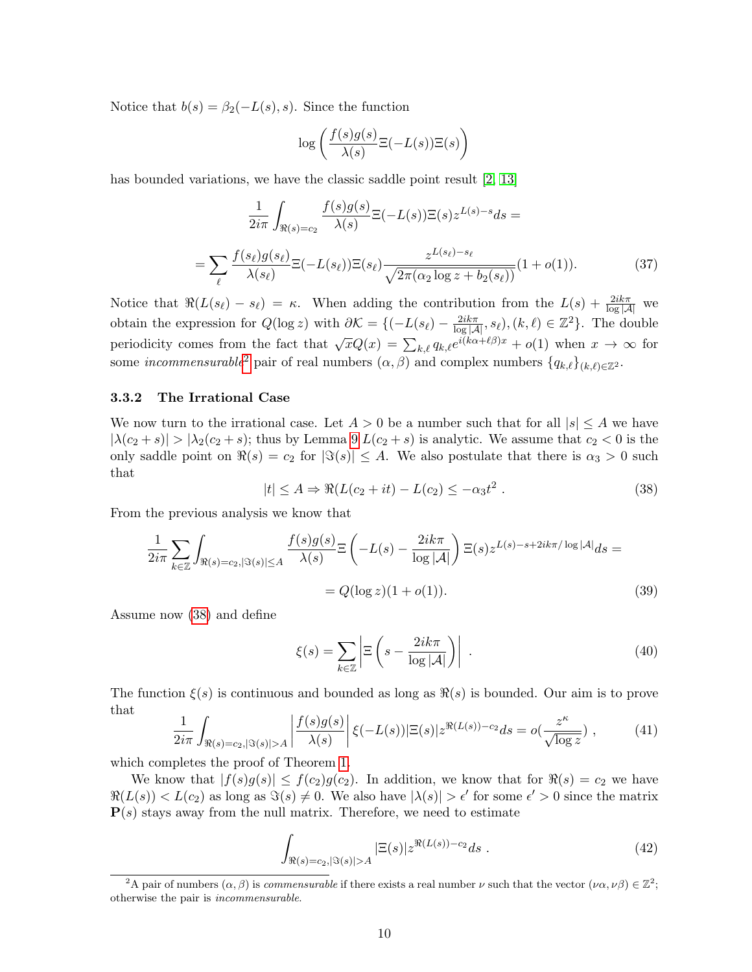Notice that  $b(s) = \beta_2(-L(s), s)$ . Since the function

$$
\log\left(\frac{f(s)g(s)}{\lambda(s)}\Xi(-L(s))\Xi(s)\right)
$$

has bounded variations, we have the classic saddle point result [\[2,](#page-12-10) [13\]](#page-12-6)

$$
\frac{1}{2i\pi} \int_{\Re(s) = c_2} \frac{f(s)g(s)}{\lambda(s)} \Xi(-L(s)) \Xi(s) z^{L(s) - s} ds =
$$
\n
$$
= \sum_{\ell} \frac{f(s_{\ell})g(s_{\ell})}{\lambda(s_{\ell})} \Xi(-L(s_{\ell})) \Xi(s_{\ell}) \frac{z^{L(s_{\ell}) - s_{\ell}}}{\sqrt{2\pi(\alpha_2 \log z + b_2(s_{\ell}))}} (1 + o(1)).
$$
\n(37)

Notice that  $\Re(L(s_\ell) - s_\ell) = \kappa$ . When adding the contribution from the  $L(s) + \frac{2ik\pi}{\log|\mathcal{A}|}$  we obtain the expression for  $Q(\log z)$  with  $\partial \mathcal{K} = \{(-L(s_{\ell}) - \frac{2ik\pi}{\log|\mathcal{A}|}, s_{\ell}), (k, \ell) \in \mathbb{Z}^2\}$ . The double periodicity comes from the fact that  $\sqrt{x}Q(x) = \sum_{k,\ell} q_{k,\ell}e^{i(k\alpha+\ell\beta)x} + o(1)$  when  $x \to \infty$  for some *incommensurable*<sup>[2](#page-9-0)</sup> pair of real numbers  $(\alpha, \beta)$  and complex numbers  $\{q_{k,\ell}\}_{(k,\ell)\in\mathbb{Z}^2}$ .

### 3.3.2 The Irrational Case

We now turn to the irrational case. Let  $A > 0$  be a number such that for all  $|s| \leq A$  we have  $|\lambda(c_2+s)| > |\lambda_2(c_2+s)|$ ; thus by Lemma [9](#page-8-2)  $L(c_2+s)$  is analytic. We assume that  $c_2 < 0$  is the only saddle point on  $\Re(s) = c_2$  for  $|\Im(s)| \leq A$ . We also postulate that there is  $\alpha_3 > 0$  such that

<span id="page-9-1"></span>
$$
|t| \le A \Rightarrow \Re(L(c_2 + it) - L(c_2) \le -\alpha_3 t^2. \tag{38}
$$

From the previous analysis we know that

$$
\frac{1}{2i\pi} \sum_{k \in \mathbb{Z}} \int_{\Re(s) = c_2, |\Im(s)| \le A} \frac{f(s)g(s)}{\lambda(s)} \Xi \left( -L(s) - \frac{2ik\pi}{\log|\mathcal{A}|} \right) \Xi(s) z^{L(s) - s + 2ik\pi/\log|\mathcal{A}|} ds =
$$
  
=  $Q(\log z)(1 + o(1)).$  (39)

Assume now [\(38\)](#page-9-1) and define

$$
\xi(s) = \sum_{k \in \mathbb{Z}} \left| \Xi \left( s - \frac{2ik\pi}{\log |\mathcal{A}|} \right) \right| \tag{40}
$$

The function  $\xi(s)$  is continuous and bounded as long as  $\Re(s)$  is bounded. Our aim is to prove that

$$
\frac{1}{2i\pi} \int_{\Re(s) = c_2, |\Im(s)| > A} \left| \frac{f(s)g(s)}{\lambda(s)} \right| \xi(-L(s)) |\Xi(s)| z^{\Re(L(s)) - c_2} ds = o(\frac{z^{\kappa}}{\sqrt{\log z}}) ,\tag{41}
$$

which completes the proof of Theorem [1.](#page-4-1)

We know that  $|f(s)g(s)| \le f(c_2)g(c_2)$ . In addition, we know that for  $\Re(s) = c_2$  we have  $\Re(L(s)) < L(c_2)$  as long as  $\Im(s) \neq 0$ . We also have  $|\lambda(s)| > \epsilon'$  for some  $\epsilon' > 0$  since the matrix  $P(s)$  stays away from the null matrix. Therefore, we need to estimate

$$
\int_{\Re(s) = c_2, |\Im(s)| > A} |\Xi(s)| z^{\Re(L(s)) - c_2} ds . \tag{42}
$$

<span id="page-9-0"></span><sup>&</sup>lt;sup>2</sup>A pair of numbers  $(\alpha, \beta)$  is *commensurable* if there exists a real number  $\nu$  such that the vector  $(\nu \alpha, \nu \beta) \in \mathbb{Z}^2$ ; otherwise the pair is incommensurable.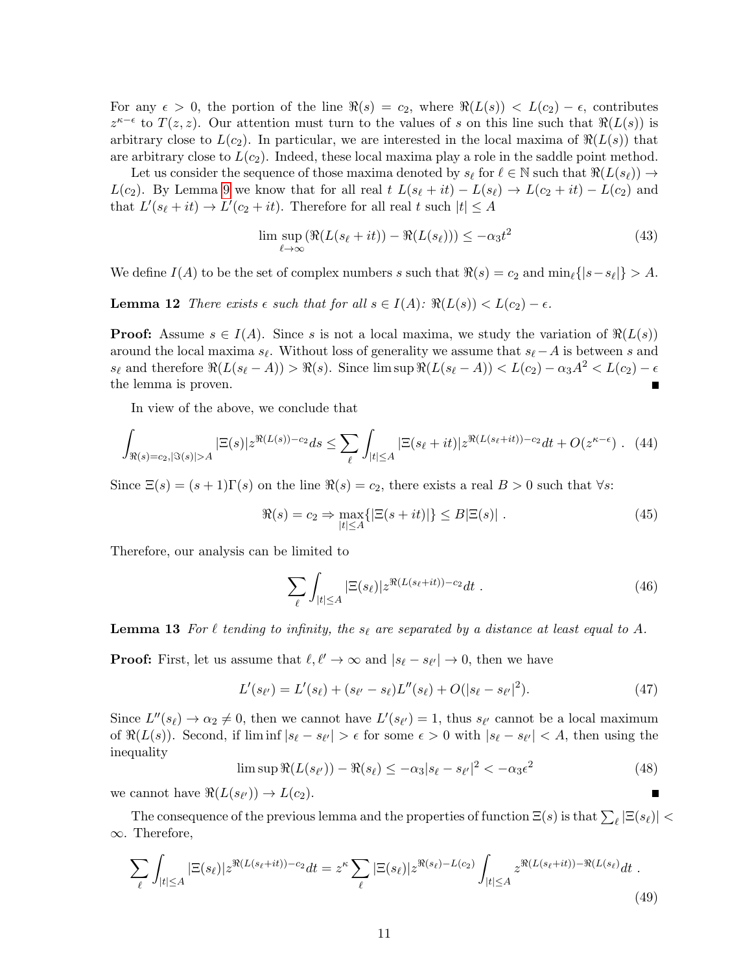For any  $\epsilon > 0$ , the portion of the line  $\Re(s) = c_2$ , where  $\Re(L(s)) < L(c_2) - \epsilon$ , contributes  $z^{\kappa-\epsilon}$  to  $T(z, z)$ . Our attention must turn to the values of s on this line such that  $\Re(L(s))$  is arbitrary close to  $L(c_2)$ . In particular, we are interested in the local maxima of  $\Re(L(s))$  that are arbitrary close to  $L(c_2)$ . Indeed, these local maxima play a role in the saddle point method.

Let us consider the sequence of those maxima denoted by  $s_{\ell}$  for  $\ell \in \mathbb{N}$  such that  $\Re(L(s_{\ell})) \to$  $L(c_2)$ . By Lemma [9](#page-8-2) we know that for all real  $t L(s_{\ell} + it) - L(s_{\ell}) \rightarrow L(c_2 + it) - L(c_2)$  and that  $L'(s_{\ell} + it) \to L'(c_2 + it)$ . Therefore for all real t such  $|t| \leq A$ 

$$
\limsup_{\ell \to \infty} (\Re(L(s_{\ell} + it)) - \Re(L(s_{\ell}))) \le -\alpha_3 t^2 \tag{43}
$$

We define  $I(A)$  to be the set of complex numbers s such that  $\Re(s) = c_2$  and  $\min_{\ell} \{|s - s_{\ell}|\} > A$ .

**Lemma 12** There exists  $\epsilon$  such that for all  $s \in I(A)$ :  $\Re(L(s)) < L(c_2) - \epsilon$ .

**Proof:** Assume  $s \in I(A)$ . Since s is not a local maxima, we study the variation of  $\Re(L(s))$ around the local maxima  $s_{\ell}$ . Without loss of generality we assume that  $s_{\ell}-A$  is between s and  $s_{\ell}$  and therefore  $\Re(L(s_{\ell} - A)) > \Re(s)$ . Since lim sup  $\Re(L(s_{\ell} - A)) < L(c_2) - \alpha_3 A^2 < L(c_2) - \epsilon$ the lemma is proven. Ē

In view of the above, we conclude that

$$
\int_{\Re(s)=c_2, |\Im(s)|>A} |\Xi(s)| z^{\Re(L(s))-c_2} ds \le \sum_{\ell} \int_{|t| \le A} |\Xi(s_{\ell}+it)| z^{\Re(L(s_{\ell}+it))-c_2} dt + O(z^{\kappa-\epsilon}). \tag{44}
$$

Since  $\Xi(s) = (s+1)\Gamma(s)$  on the line  $\Re(s) = c_2$ , there exists a real  $B > 0$  such that  $\forall s$ :

$$
\Re(s) = c_2 \Rightarrow \max_{|t| \le A} \{ |\Xi(s+it)| \} \le B|\Xi(s)| . \tag{45}
$$

Therefore, our analysis can be limited to

$$
\sum_{\ell} \int_{|t| \le A} |\Xi(s_{\ell})| z^{\Re(L(s_{\ell}+it)) - c_2} dt . \tag{46}
$$

**Lemma 13** For  $\ell$  tending to infinity, the s<sub> $\ell$ </sub> are separated by a distance at least equal to A.

**Proof:** First, let us assume that  $\ell, \ell' \to \infty$  and  $|s_{\ell} - s_{\ell'}| \to 0$ , then we have

$$
L'(s_{\ell'}) = L'(s_{\ell}) + (s_{\ell'} - s_{\ell})L''(s_{\ell}) + O(|s_{\ell} - s_{\ell'}|^2). \tag{47}
$$

Since  $L''(s_\ell) \to \alpha_2 \neq 0$ , then we cannot have  $L'(s_{\ell'}) = 1$ , thus  $s_{\ell'}$  cannot be a local maximum of  $\Re(L(s))$ . Second, if  $\liminf |s_{\ell} - s_{\ell'}| > \epsilon$  for some  $\epsilon > 0$  with  $|s_{\ell} - s_{\ell'}| < A$ , then using the inequality

$$
\limsup \Re(L(s_{\ell'})) - \Re(s_{\ell}) \le -\alpha_3 |s_{\ell} - s_{\ell'}|^2 < -\alpha_3 \epsilon^2 \tag{48}
$$

we cannot have  $\Re(L(s_{\ell'})) \to L(c_2)$ .

The consequence of the previous lemma and the properties of function  $\Xi(s)$  is that  $\sum_{\ell} |\Xi(s_{\ell})|$  < ∞. Therefore,

$$
\sum_{\ell} \int_{|t| \le A} |\Xi(s_{\ell})| z^{\Re(L(s_{\ell}+it)) - c_2} dt = z^{\kappa} \sum_{\ell} |\Xi(s_{\ell})| z^{\Re(s_{\ell}) - L(c_2)} \int_{|t| \le A} z^{\Re(L(s_{\ell}+it)) - \Re(L(s_{\ell})} dt \tag{49}
$$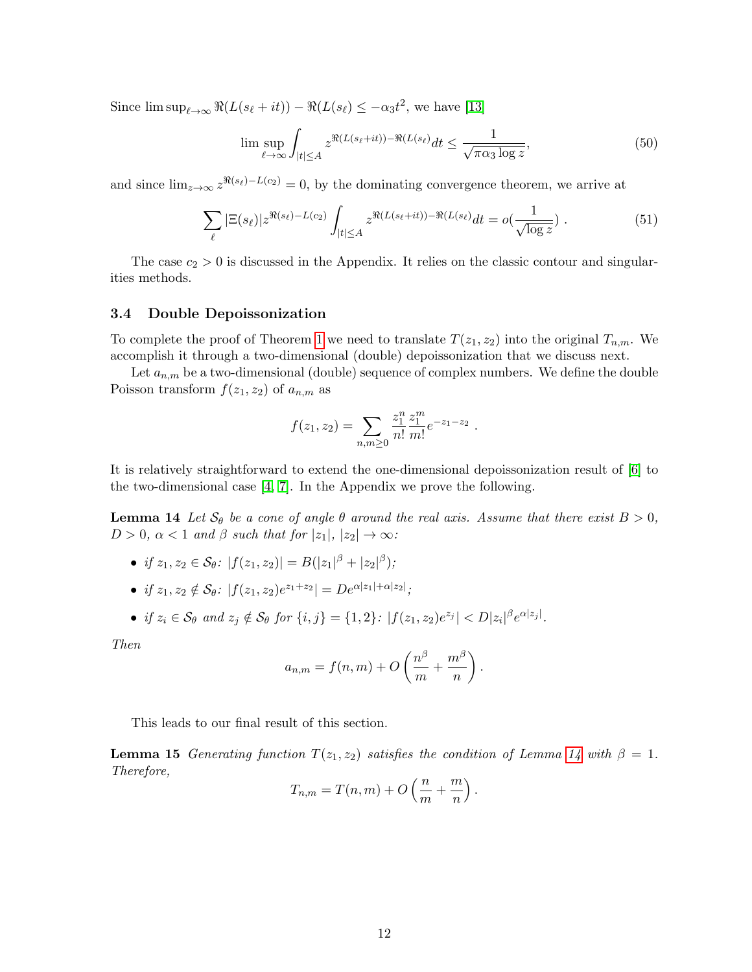Since  $\limsup_{\ell \to \infty} \Re(L(s_{\ell} + it)) - \Re(L(s_{\ell}) \le -\alpha_3 t^2$ , we have [\[13\]](#page-12-6)

$$
\limsup_{\ell \to \infty} \int_{|t| \le A} z^{\Re(L(s_{\ell} + it)) - \Re(L(s_{\ell}))} dt \le \frac{1}{\sqrt{\pi \alpha_3 \log z}},
$$
\n(50)

and since  $\lim_{z\to\infty} z^{\Re(s_\ell)-L(c_2)} = 0$ , by the dominating convergence theorem, we arrive at

$$
\sum_{\ell} |\Xi(s_{\ell})| z^{\Re(s_{\ell}) - L(c_2)} \int_{|t| \le A} z^{\Re(L(s_{\ell} + it)) - \Re(L(s_{\ell}))} dt = o(\frac{1}{\sqrt{\log z}}) \tag{51}
$$

The case  $c_2 > 0$  is discussed in the Appendix. It relies on the classic contour and singularities methods.

### <span id="page-11-0"></span>3.4 Double Depoissonization

To complete the proof of Theorem [1](#page-4-1) we need to translate  $T(z_1, z_2)$  into the original  $T_{n,m}$ . We accomplish it through a two-dimensional (double) depoissonization that we discuss next.

Let  $a_{n,m}$  be a two-dimensional (double) sequence of complex numbers. We define the double Poisson transform  $f(z_1, z_2)$  of  $a_{n,m}$  as

$$
f(z_1, z_2) = \sum_{n,m \geq 0} \frac{z_1^n}{n!} \frac{z_1^m}{m!} e^{-z_1 - z_2} .
$$

It is relatively straightforward to extend the one-dimensional depoissonization result of [\[6\]](#page-12-11) to the two-dimensional case [\[4,](#page-12-4) [7\]](#page-12-12). In the Appendix we prove the following.

<span id="page-11-1"></span>**Lemma 14** Let  $S_\theta$  be a cone of angle  $\theta$  around the real axis. Assume that there exist  $B > 0$ ,  $D > 0$ ,  $\alpha < 1$  and  $\beta$  such that for  $|z_1|, |z_2| \to \infty$ :

- if  $z_1, z_2 \in \mathcal{S}_{\theta}$ :  $|f(z_1, z_2)| = B(|z_1|^{\beta} + |z_2|^{\beta});$
- if  $z_1, z_2 \notin \mathcal{S}_{\theta}$ :  $|f(z_1, z_2)e^{z_1+z_2}| = De^{\alpha |z_1| + \alpha |z_2|}$ ;
- if  $z_i \in S_\theta$  and  $z_j \notin S_\theta$  for  $\{i, j\} = \{1, 2\}$ :  $|f(z_1, z_2)e^{z_j}| < D|z_i|^{\beta}e^{\alpha |z_j|}$ .

Then

$$
a_{n,m} = f(n,m) + O\left(\frac{n^{\beta}}{m} + \frac{m^{\beta}}{n}\right).
$$

<span id="page-11-2"></span>This leads to our final result of this section.

**Lemma 15** Generating function  $T(z_1, z_2)$  satisfies the condition of Lemma [14](#page-11-1) with  $\beta = 1$ . Therefore,

$$
T_{n,m}=T(n,m)+O\left(\frac{n}{m}+\frac{m}{n}\right).
$$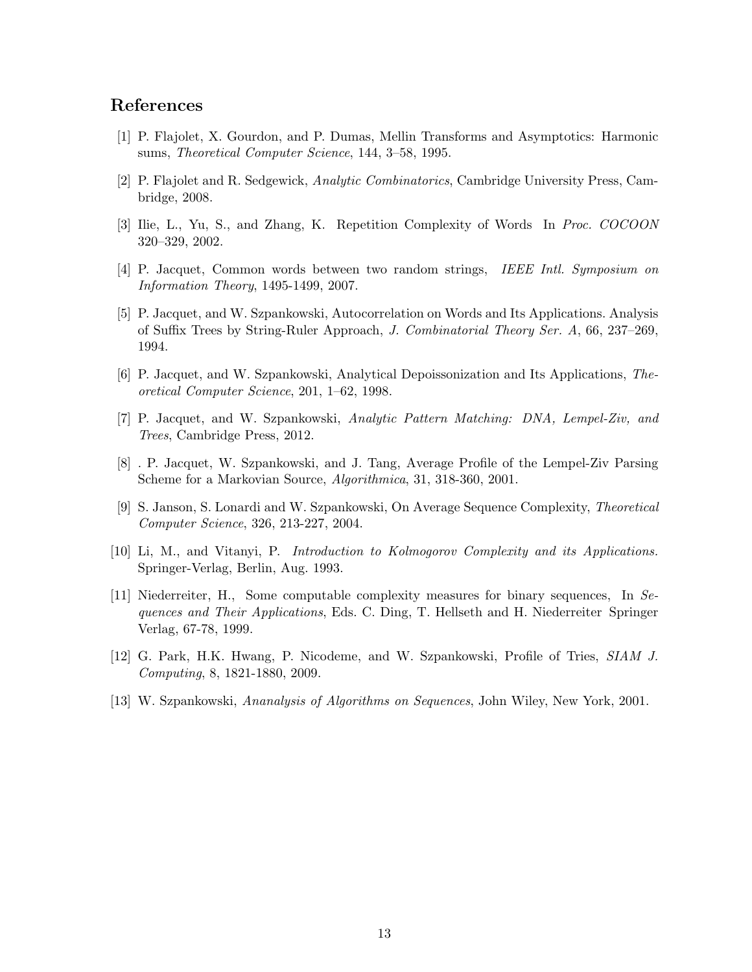# References

- <span id="page-12-9"></span>[1] P. Flajolet, X. Gourdon, and P. Dumas, Mellin Transforms and Asymptotics: Harmonic sums, Theoretical Computer Science, 144, 3–58, 1995.
- <span id="page-12-10"></span>[2] P. Flajolet and R. Sedgewick, Analytic Combinatorics, Cambridge University Press, Cambridge, 2008.
- <span id="page-12-0"></span>[3] Ilie, L., Yu, S., and Zhang, K. Repetition Complexity of Words In Proc. COCOON 320–329, 2002.
- <span id="page-12-4"></span>[4] P. Jacquet, Common words between two random strings, IEEE Intl. Symposium on Information Theory, 1495-1499, 2007.
- <span id="page-12-7"></span>[5] P. Jacquet, and W. Szpankowski, Autocorrelation on Words and Its Applications. Analysis of Suffix Trees by String-Ruler Approach, J. Combinatorial Theory Ser. A, 66, 237–269, 1994.
- <span id="page-12-11"></span>[6] P. Jacquet, and W. Szpankowski, Analytical Depoissonization and Its Applications, Theoretical Computer Science, 201, 1–62, 1998.
- <span id="page-12-12"></span>[7] P. Jacquet, and W. Szpankowski, Analytic Pattern Matching: DNA, Lempel-Ziv, and Trees, Cambridge Press, 2012.
- <span id="page-12-8"></span>[8] . P. Jacquet, W. Szpankowski, and J. Tang, Average Profile of the Lempel-Ziv Parsing Scheme for a Markovian Source, Algorithmica, 31, 318-360, 2001.
- <span id="page-12-3"></span>[9] S. Janson, S. Lonardi and W. Szpankowski, On Average Sequence Complexity, Theoretical Computer Science, 326, 213-227, 2004.
- <span id="page-12-1"></span>[10] Li, M., and Vitanyi, P. Introduction to Kolmogorov Complexity and its Applications. Springer-Verlag, Berlin, Aug. 1993.
- <span id="page-12-2"></span>[11] Niederreiter, H., Some computable complexity measures for binary sequences, In Sequences and Their Applications, Eds. C. Ding, T. Hellseth and H. Niederreiter Springer Verlag, 67-78, 1999.
- <span id="page-12-5"></span>[12] G. Park, H.K. Hwang, P. Nicodeme, and W. Szpankowski, Profile of Tries, SIAM J. Computing, 8, 1821-1880, 2009.
- <span id="page-12-6"></span>[13] W. Szpankowski, Ananalysis of Algorithms on Sequences, John Wiley, New York, 2001.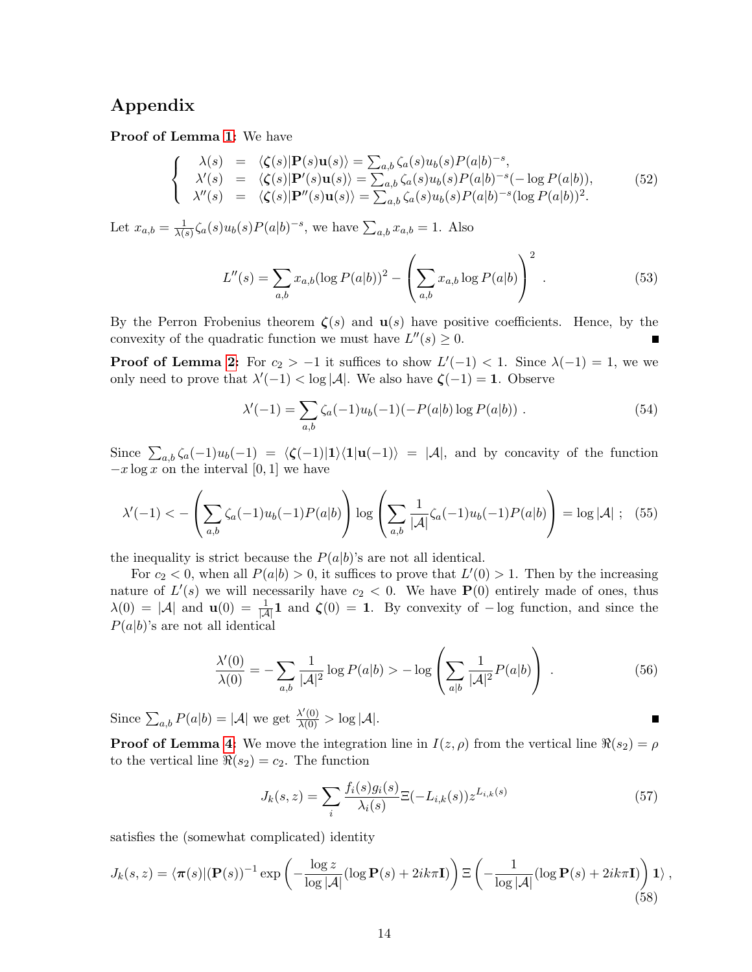# Appendix

Proof of Lemma [1:](#page-3-2) We have

$$
\begin{cases}\n\lambda(s) = \langle \zeta(s) | \mathbf{P}(s) \mathbf{u}(s) \rangle = \sum_{a,b} \zeta_a(s) u_b(s) P(a|b)^{-s}, \\
\lambda'(s) = \langle \zeta(s) | \mathbf{P}'(s) \mathbf{u}(s) \rangle = \sum_{a,b} \zeta_a(s) u_b(s) P(a|b)^{-s} (-\log P(a|b)), \\
\lambda''(s) = \langle \zeta(s) | \mathbf{P}''(s) \mathbf{u}(s) \rangle = \sum_{a,b} \zeta_a(s) u_b(s) P(a|b)^{-s} (\log P(a|b))^2.\n\end{cases}
$$
\n(52)

Let  $x_{a,b} = \frac{1}{\lambda(b)}$  $\frac{1}{\lambda(s)}\zeta_a(s)u_b(s)P(a|b)^{-s}$ , we have  $\sum_{a,b}x_{a,b}=1$ . Also

$$
L''(s) = \sum_{a,b} x_{a,b} (\log P(a|b))^2 - \left(\sum_{a,b} x_{a,b} \log P(a|b)\right)^2.
$$
 (53)

By the Perron Frobenius theorem  $\zeta(s)$  and  $\mathbf{u}(s)$  have positive coefficients. Hence, by the convexity of the quadratic function we must have  $L''(s) \geq 0$ . Г

**Proof of Lemma [2:](#page-3-3)** For  $c_2 > -1$  it suffices to show  $L'(-1) < 1$ . Since  $\lambda(-1) = 1$ , we we only need to prove that  $\lambda'(-1) < \log |\mathcal{A}|$ . We also have  $\zeta(-1) = 1$ . Observe

$$
\lambda'(-1) = \sum_{a,b} \zeta_a(-1)u_b(-1)(-P(a|b)\log P(a|b)).
$$
\n(54)

Since  $\sum_{a,b} \zeta_a(-1)u_b(-1) = \langle \zeta(-1)|1\rangle\langle 1|u(-1)\rangle = |\mathcal{A}|$ , and by concavity of the function  $-x \log x$  on the interval [0, 1] we have

$$
\lambda'(-1) < -\left(\sum_{a,b} \zeta_a(-1)u_b(-1)P(a|b)\right) \log \left(\sum_{a,b} \frac{1}{|\mathcal{A}|} \zeta_a(-1)u_b(-1)P(a|b)\right) = \log |\mathcal{A}| \ ; \ (55)
$$

the inequality is strict because the  $P(a|b)$ 's are not all identical.

For  $c_2 < 0$ , when all  $P(a|b) > 0$ , it suffices to prove that  $L'(0) > 1$ . Then by the increasing nature of  $L'(s)$  we will necessarily have  $c_2 < 0$ . We have  $P(0)$  entirely made of ones, thus  $\lambda(0) = |\mathcal{A}|$  and  $\mathbf{u}(0) = \frac{1}{|\mathcal{A}|} \mathbf{1}$  and  $\boldsymbol{\zeta}(0) = \mathbf{1}$ . By convexity of  $-\log$  function, and since the  $P(a|b)$ 's are not all identical

$$
\frac{\lambda'(0)}{\lambda(0)} = -\sum_{a,b} \frac{1}{|\mathcal{A}|^2} \log P(a|b) > -\log \left( \sum_{a|b} \frac{1}{|\mathcal{A}|^2} P(a|b) \right) . \tag{56}
$$

Since  $\sum_{a,b} P(a|b) = |\mathcal{A}|$  we get  $\frac{\lambda'(0)}{\lambda(0)} > \log |\mathcal{A}|$ .

**Proof of Lemma [4:](#page-6-1)** We move the integration line in  $I(z, \rho)$  from the vertical line  $\Re(s_2) = \rho$ to the vertical line  $\Re(s_2) = c_2$ . The function

$$
J_k(s, z) = \sum_{i} \frac{f_i(s)g_i(s)}{\lambda_i(s)} \Xi(-L_{i,k}(s)) z^{L_{i,k}(s)}
$$
(57)

satisfies the (somewhat complicated) identity

$$
J_k(s,z) = \langle \pi(s) | (\mathbf{P}(s))^{-1} \exp\left(-\frac{\log z}{\log |\mathcal{A}|} (\log \mathbf{P}(s) + 2ik\pi \mathbf{I})\right) \Xi\left(-\frac{1}{\log |\mathcal{A}|} (\log \mathbf{P}(s) + 2ik\pi \mathbf{I})\right) \mathbf{1} \rangle ,\tag{58}
$$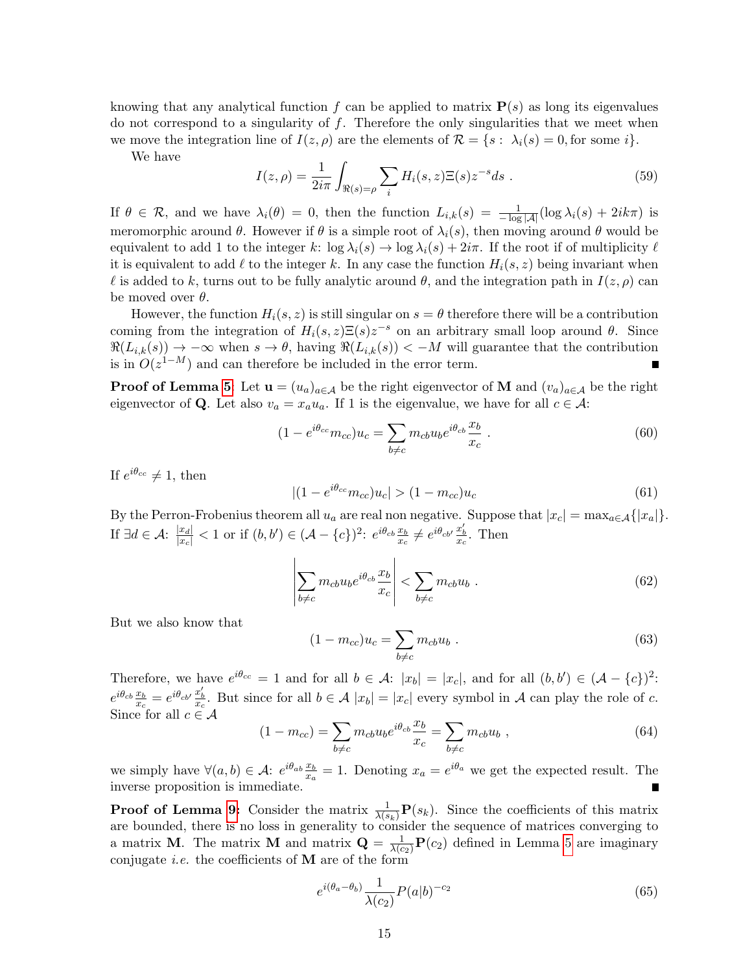knowing that any analytical function f can be applied to matrix  $P(s)$  as long its eigenvalues do not correspond to a singularity of  $f$ . Therefore the only singularities that we meet when we move the integration line of  $I(z, \rho)$  are the elements of  $\mathcal{R} = \{s : \lambda_i(s) = 0, \text{ for some } i\}.$ 

We have

$$
I(z,\rho) = \frac{1}{2i\pi} \int_{\Re(s) = \rho} \sum_{i} H_i(s,z) \Xi(s) z^{-s} ds .
$$
 (59)

If  $\theta \in \mathcal{R}$ , and we have  $\lambda_i(\theta) = 0$ , then the function  $L_{i,k}(s) = \frac{1}{-\log|\mathcal{A}|}(\log \lambda_i(s) + 2ik\pi)$  is meromorphic around  $\theta$ . However if  $\theta$  is a simple root of  $\lambda_i(s)$ , then moving around  $\theta$  would be equivalent to add 1 to the integer k:  $\log \lambda_i(s) \to \log \lambda_i(s) + 2i\pi$ . If the root if of multiplicity  $\ell$ it is equivalent to add  $\ell$  to the integer k. In any case the function  $H_i(s, z)$  being invariant when l is added to k, turns out to be fully analytic around  $\theta$ , and the integration path in  $I(z, \rho)$  can be moved over  $\theta$ .

However, the function  $H_i(s, z)$  is still singular on  $s = \theta$  therefore there will be a contribution coming from the integration of  $H_i(s, z) \Xi(s) z^{-s}$  on an arbitrary small loop around  $\theta$ . Since  $\Re(L_{i,k}(s)) \to -\infty$  when  $s \to \theta$ , having  $\Re(L_{i,k}(s)) \lt -M$  will guarantee that the contribution is in  $O(z^{1-M})$  and can therefore be included in the error term. Е

**Proof of Lemma [5](#page-7-1):** Let  $\mathbf{u} = (u_a)_{a \in \mathcal{A}}$  be the right eigenvector of **M** and  $(v_a)_{a \in \mathcal{A}}$  be the right eigenvector of Q. Let also  $v_a = x_a u_a$ . If 1 is the eigenvalue, we have for all  $c \in \mathcal{A}$ :

$$
(1 - e^{i\theta_{cc}} m_{cc}) u_c = \sum_{b \neq c} m_{cb} u_b e^{i\theta_{cb}} \frac{x_b}{x_c} . \tag{60}
$$

If  $e^{i\theta_{cc}} \neq 1$ , then

$$
|(1 - e^{i\theta_{cc}} m_{cc})u_c| > (1 - m_{cc})u_c
$$
\n(61)

By the Perron-Frobenius theorem all  $u_a$  are real non negative. Suppose that  $|x_c| = \max_{a \in \mathcal{A}} \{|x_a|\}.$ If  $\exists d \in \mathcal{A}$ :  $\frac{|x_d|}{|x_c|} < 1$  or if  $(b, b') \in (\mathcal{A} - \{c\})^2$ :  $e^{i\theta_{cb}} \frac{x_b}{x_c} \neq e^{i\theta_{cb'}} \frac{x'_b}{x_c}$ . Then

$$
\left| \sum_{b \neq c} m_{cb} u_b e^{i\theta_{cb}} \frac{x_b}{x_c} \right| < \sum_{b \neq c} m_{cb} u_b \tag{62}
$$

But we also know that

$$
(1 - m_{cc})u_c = \sum_{b \neq c} m_{cb}u_b . \qquad (63)
$$

Therefore, we have  $e^{i\theta_{cc}} = 1$  and for all  $b \in \mathcal{A}$ :  $|x_b| = |x_c|$ , and for all  $(b, b') \in (\mathcal{A} - \{c\})^2$ :  $e^{i\theta_{cb}}\frac{x_b}{x_c} = e^{i\theta_{cb'}}\frac{x'_b}{x_c}$ . But since for all  $b \in \mathcal{A} |x_b| = |x_c|$  every symbol in  $\mathcal{A}$  can play the role of c. Since for all  $c \in \mathcal{A}$ 

$$
(1 - m_{cc}) = \sum_{b \neq c} m_{cb} u_b e^{i\theta_{cb}} \frac{x_b}{x_c} = \sum_{b \neq c} m_{cb} u_b , \qquad (64)
$$

we simply have  $\forall (a, b) \in \mathcal{A}$ :  $e^{i\theta_{ab}} \frac{x_b}{x_a} = 1$ . Denoting  $x_a = e^{i\theta_a}$  we get the expected result. The inverse proposition is immediate.

**Proof of Lemma [9:](#page-8-2)** Consider the matrix  $\frac{1}{\lambda(s_k)}\mathbf{P}(s_k)$ . Since the coefficients of this matrix are bounded, there is no loss in generality to consider the sequence of matrices converging to a matrix **M**. The matrix **M** and matrix  $\mathbf{Q} = \frac{1}{\lambda(c_2)} \mathbf{P}(c_2)$  defined in Lemma [5](#page-7-1) are imaginary conjugate *i.e.* the coefficients of  $M$  are of the form

$$
e^{i(\theta_a - \theta_b)} \frac{1}{\lambda(c_2)} P(a|b)^{-c_2} \tag{65}
$$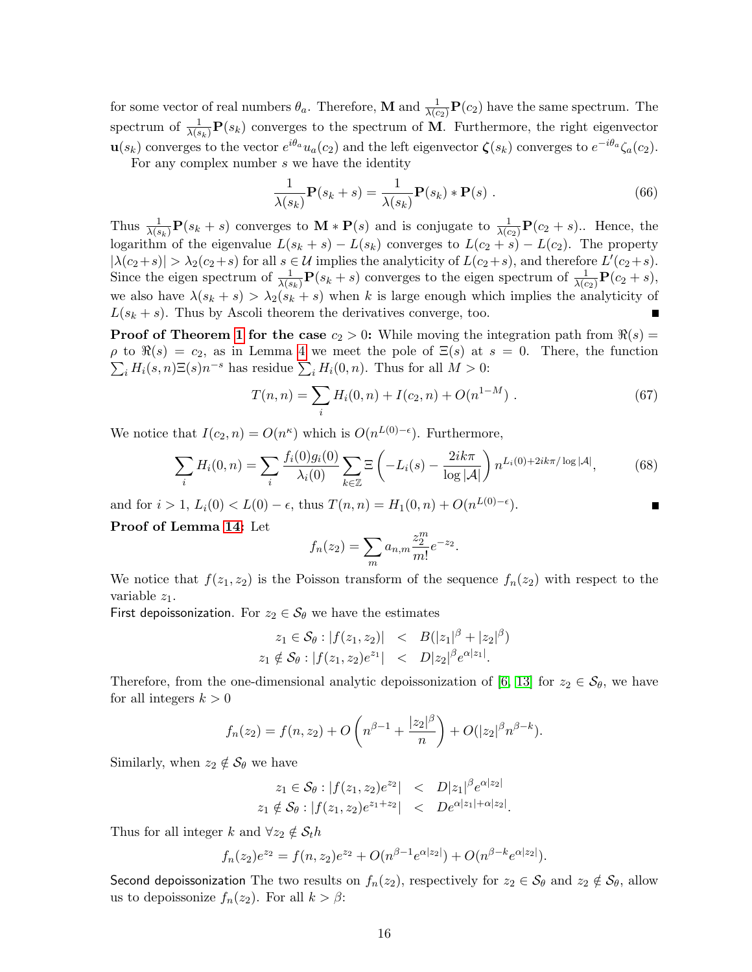for some vector of real numbers  $\theta_a$ . Therefore, **M** and  $\frac{1}{\lambda(c_2)}\mathbf{P}(c_2)$  have the same spectrum. The spectrum of  $\frac{1}{\lambda(s_k)}\mathbf{P}(s_k)$  converges to the spectrum of M. Furthermore, the right eigenvector  $\mathbf{u}(s_k)$  converges to the vector  $e^{i\theta_a}u_a(c_2)$  and the left eigenvector  $\boldsymbol{\zeta}(s_k)$  converges to  $e^{-i\theta_a}\zeta_a(c_2)$ .

For any complex number s we have the identity

$$
\frac{1}{\lambda(s_k)} \mathbf{P}(s_k + s) = \frac{1}{\lambda(s_k)} \mathbf{P}(s_k) * \mathbf{P}(s) .
$$
 (66)

Thus  $\frac{1}{\lambda(s_k)}\mathbf{P}(s_k+s)$  converges to  $\mathbf{M} * \mathbf{P}(s)$  and is conjugate to  $\frac{1}{\lambda(c_2)}\mathbf{P}(c_2+s)$ .. Hence, the logarithm of the eigenvalue  $L(s_k + s) - L(s_k)$  converges to  $L(c_2 + s) - L(c_2)$ . The property  $|\lambda(c_2+s)| > \lambda_2(c_2+s)$  for all  $s \in \mathcal{U}$  implies the analyticity of  $L(c_2+s)$ , and therefore  $L'(c_2+s)$ . Since the eigen spectrum of  $\frac{1}{\lambda(s_k)}$ **P** $(s_k + s)$  converges to the eigen spectrum of  $\frac{1}{\lambda(c_2)}$ **P** $(c_2 + s)$ , we also have  $\lambda(s_k + s) > \lambda_2(s_k + s)$  when k is large enough which implies the analyticity of  $L(s_k + s)$ . Thus by Ascoli theorem the derivatives converge, too.

**Proof of Theorem [1](#page-4-1) for the case**  $c_2 > 0$ : While moving the integration path from  $\Re(s)$  =  $\rho$  to  $\Re(s) = c_2$ , as in Lemma [4](#page-6-1) we meet the pole of  $\Xi(s)$  at  $s = 0$ . There, the function  $\sum_i H_i(s, n) \Xi(s) n^{-s}$  has residue  $\sum_i H_i(0, n)$ . Thus for all  $M > 0$ :

$$
T(n,n) = \sum_{i} H_i(0,n) + I(c_2,n) + O(n^{1-M}).
$$
\n(67)

We notice that  $I(c_2, n) = O(n^{\kappa})$  which is  $O(n^{L(0)-\epsilon})$ . Furthermore,

$$
\sum_{i} H_i(0, n) = \sum_{i} \frac{f_i(0)g_i(0)}{\lambda_i(0)} \sum_{k \in \mathbb{Z}} \Xi \left( -L_i(s) - \frac{2ik\pi}{\log |\mathcal{A}|} \right) n^{L_i(0) + 2ik\pi/\log |\mathcal{A}|},\tag{68}
$$

and for  $i > 1$ ,  $L_i(0) < L(0) - \epsilon$ , thus  $T(n,n) = H_1(0,n) + O(n^{L(0)-\epsilon})$ .

Proof of Lemma [14:](#page-11-1) Let

$$
f_n(z_2) = \sum_{m} a_{n,m} \frac{z_2^m}{m!} e^{-z_2}.
$$

We notice that  $f(z_1, z_2)$  is the Poisson transform of the sequence  $f_n(z_2)$  with respect to the variable  $z_1$ .

First depoissonization. For  $z_2 \in S_\theta$  we have the estimates

$$
z_1 \in \mathcal{S}_{\theta}: |f(z_1, z_2)| \leq B(|z_1|^{\beta} + |z_2|^{\beta})
$$
  

$$
z_1 \notin \mathcal{S}_{\theta}: |f(z_1, z_2)e^{z_1}| \leq D|z_2|^{\beta}e^{\alpha|z_1|}.
$$

Therefore, from the one-dimensional analytic depoissonization of [\[6,](#page-12-11) [13\]](#page-12-6) for  $z_2 \in S_\theta$ , we have for all integers  $k > 0$ 

$$
f_n(z_2) = f(n, z_2) + O\left(n^{\beta - 1} + \frac{|z_2|^{\beta}}{n}\right) + O(|z_2|^{\beta} n^{\beta - k}).
$$

Similarly, when  $z_2 \notin \mathcal{S}_{\theta}$  we have

$$
z_1 \in \mathcal{S}_{\theta}: |f(z_1, z_2)e^{z_2}| < D|z_1|^{\beta}e^{\alpha|z_2|}
$$
  

$$
z_1 \notin \mathcal{S}_{\theta}: |f(z_1, z_2)e^{z_1+z_2}| < D e^{\alpha|z_1| + \alpha|z_2|}.
$$

Thus for all integer k and  $\forall z_2 \notin \mathcal{S}_t h$ 

$$
f_n(z_2)e^{z_2} = f(n, z_2)e^{z_2} + O(n^{\beta - 1}e^{\alpha |z_2|}) + O(n^{\beta - k}e^{\alpha |z_2|}).
$$

Second depoissonization The two results on  $f_n(z_2)$ , respectively for  $z_2 \in S_\theta$  and  $z_2 \notin S_\theta$ , allow us to depoissonize  $f_n(z_2)$ . For all  $k > \beta$ :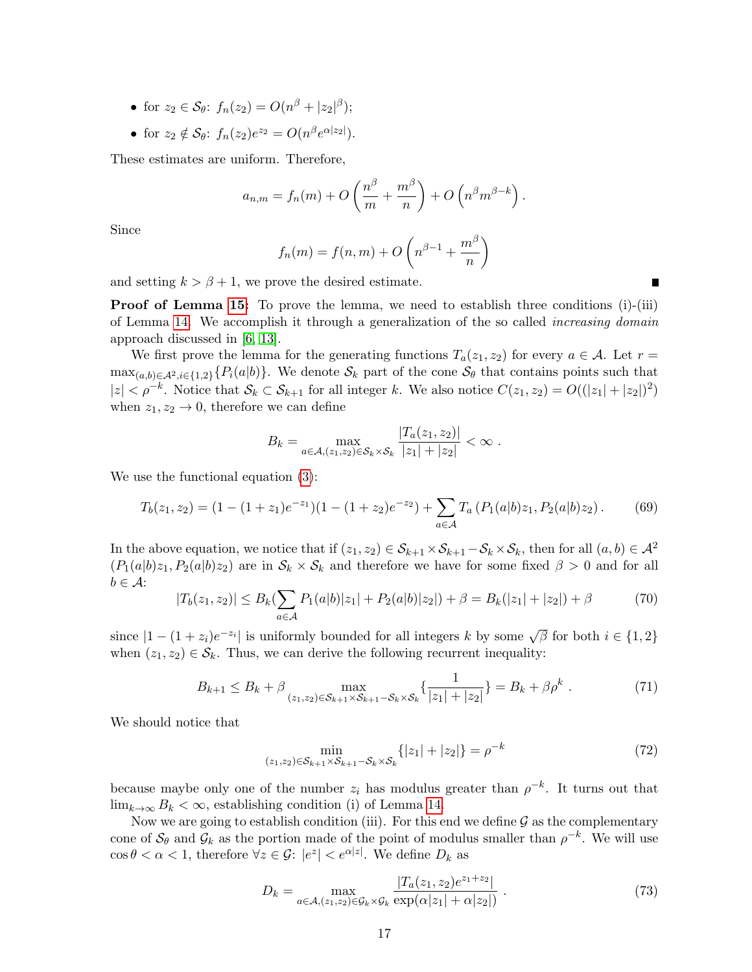- for  $z_2 \in \mathcal{S}_{\theta}$ :  $f_n(z_2) = O(n^{\beta} + |z_2|^{\beta});$
- for  $z_2 \notin \mathcal{S}_{\theta}$ :  $f_n(z_2)e^{z_2} = O(n^{\beta}e^{\alpha |z_2|}).$

These estimates are uniform. Therefore,

$$
a_{n,m} = f_n(m) + O\left(\frac{n^{\beta}}{m} + \frac{m^{\beta}}{n}\right) + O\left(n^{\beta}m^{\beta-k}\right).
$$

Since

$$
f_n(m) = f(n, m) + O\left(n^{\beta - 1} + \frac{m^{\beta}}{n}\right)
$$

 $\blacksquare$ 

and setting  $k > \beta + 1$ , we prove the desired estimate.

**Proof of Lemma [15:](#page-11-2)** To prove the lemma, we need to establish three conditions  $(i)$ - $(iii)$ of Lemma [14.](#page-11-1) We accomplish it through a generalization of the so called *increasing domain* approach discussed in [\[6,](#page-12-11) [13\]](#page-12-6).

We first prove the lemma for the generating functions  $T_a(z_1, z_2)$  for every  $a \in \mathcal{A}$ . Let  $r =$  $\max_{(a,b)\in\mathcal{A}^2,i\in\{1,2\}}\{P_i(a|b)\}\.$  We denote  $\mathcal{S}_k$  part of the cone  $\mathcal{S}_\theta$  that contains points such that  $|z| < \rho^{-k}$ . Notice that  $\mathcal{S}_k \subset \mathcal{S}_{k+1}$  for all integer k. We also notice  $C(z_1, z_2) = O((|z_1| + |z_2|)^2)$ when  $z_1, z_2 \rightarrow 0$ , therefore we can define

$$
B_k = \max_{a \in A, (z_1, z_2) \in S_k \times S_k} \frac{|T_a(z_1, z_2)|}{|z_1| + |z_2|} < \infty.
$$

We use the functional equation [\(3\)](#page-2-1):

$$
T_b(z_1, z_2) = (1 - (1 + z_1)e^{-z_1})(1 - (1 + z_2)e^{-z_2}) + \sum_{a \in \mathcal{A}} T_a (P_1(a|b)z_1, P_2(a|b)z_2).
$$
 (69)

In the above equation, we notice that if  $(z_1, z_2) \in S_{k+1} \times S_{k+1} - S_k \times S_k$ , then for all  $(a, b) \in A^2$  $(P_1(a|b)z_1, P_2(a|b)z_2)$  are in  $\mathcal{S}_k \times \mathcal{S}_k$  and therefore we have for some fixed  $\beta > 0$  and for all  $b \in \mathcal{A}$ :

$$
|T_b(z_1, z_2)| \le B_k(\sum_{a \in \mathcal{A}} P_1(a|b)|z_1| + P_2(a|b)|z_2|) + \beta = B_k(|z_1| + |z_2|) + \beta \tag{70}
$$

since  $|1 - (1 + z_i)e^{-z_i}|$  is uniformly bounded for all integers k by some  $\sqrt{\beta}$  for both  $i \in \{1, 2\}$ when  $(z_1, z_2) \in S_k$ . Thus, we can derive the following recurrent inequality:

$$
B_{k+1} \le B_k + \beta \max_{(z_1, z_2) \in \mathcal{S}_{k+1} \times \mathcal{S}_{k+1} - \mathcal{S}_k \times \mathcal{S}_k} \left\{ \frac{1}{|z_1| + |z_2|} \right\} = B_k + \beta \rho^k \tag{71}
$$

We should notice that

$$
\min_{(z_1, z_2) \in \mathcal{S}_{k+1} \times \mathcal{S}_{k+1} - \mathcal{S}_k \times \mathcal{S}_k} \{ |z_1| + |z_2| \} = \rho^{-k}
$$
\n(72)

because maybe only one of the number  $z_i$  has modulus greater than  $\rho^{-k}$ . It turns out that lim<sub>k→∞</sub>  $B_k < \infty$ , establishing condition (i) of Lemma [14.](#page-11-1)

Now we are going to establish condition (iii). For this end we define  $\mathcal G$  as the complementary cone of  $\mathcal{S}_{\theta}$  and  $\mathcal{G}_k$  as the portion made of the point of modulus smaller than  $\rho^{-k}$ . We will use  $\cos \theta < \alpha < 1$ , therefore  $\forall z \in \mathcal{G}$ :  $|e^z| < e^{\alpha |z|}$ . We define  $D_k$  as

$$
D_k = \max_{a \in \mathcal{A}, (z_1, z_2) \in \mathcal{G}_k \times \mathcal{G}_k} \frac{|T_a(z_1, z_2)e^{z_1 + z_2}|}{\exp(\alpha|z_1| + \alpha|z_2|)} . \tag{73}
$$